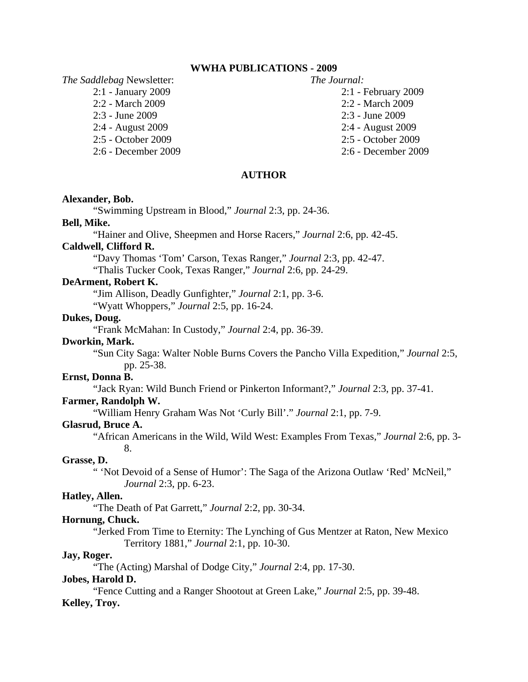## **WWHA PUBLICATIONS - 2009**

*The Saddlebag* Newsletter: *The Journal:*

- 
- 2:2 March 2009 2:2 March 2009
- 2:3 June 2009 2:3 June 2009
- 2:4 August 2009 2:4 August 2009
- 2:5 October 2009 2:5 October 2009
- 2:6 December 2009 2:6 December 2009
- 
- 2:1 January 2009 2:1 February 2009
	-
	-
	-
	-
	-

## **AUTHOR**

#### **Alexander, Bob.**

"Swimming Upstream in Blood," *Journal* 2:3, pp. 24-36.

## **Bell, Mike.**

"Hainer and Olive, Sheepmen and Horse Racers," *Journal* 2:6, pp. 42-45.

# **Caldwell, Clifford R.**

"Davy Thomas 'Tom' Carson, Texas Ranger," *Journal* 2:3, pp. 42-47.

"Thalis Tucker Cook, Texas Ranger," *Journal* 2:6, pp. 24-29.

# **DeArment, Robert K.**

"Jim Allison, Deadly Gunfighter," *Journal* 2:1, pp. 3-6.

"Wyatt Whoppers," *Journal* 2:5, pp. 16-24.

## **Dukes, Doug.**

"Frank McMahan: In Custody," *Journal* 2:4, pp. 36-39.

## **Dworkin, Mark.**

 "Sun City Saga: Walter Noble Burns Covers the Pancho Villa Expedition," *Journal* 2:5, pp. 25-38.

#### **Ernst, Donna B.**

"Jack Ryan: Wild Bunch Friend or Pinkerton Informant?," *Journal* 2:3, pp. 37-41.

#### **Farmer, Randolph W.**

"William Henry Graham Was Not 'Curly Bill'." *Journal* 2:1, pp. 7-9.

#### **Glasrud, Bruce A.**

 "African Americans in the Wild, Wild West: Examples From Texas," *Journal* 2:6, pp. 3- 8.

### **Grasse, D.**

 " 'Not Devoid of a Sense of Humor': The Saga of the Arizona Outlaw 'Red' McNeil," *Journal* 2:3, pp. 6-23.

## **Hatley, Allen.**

"The Death of Pat Garrett," *Journal* 2:2, pp. 30-34.

## **Hornung, Chuck.**

 "Jerked From Time to Eternity: The Lynching of Gus Mentzer at Raton, New Mexico Territory 1881," *Journal* 2:1, pp. 10-30.

### **Jay, Roger.**

"The (Acting) Marshal of Dodge City," *Journal* 2:4, pp. 17-30.

#### **Jobes, Harold D.**

"Fence Cutting and a Ranger Shootout at Green Lake," *Journal* 2:5, pp. 39-48. **Kelley, Troy.**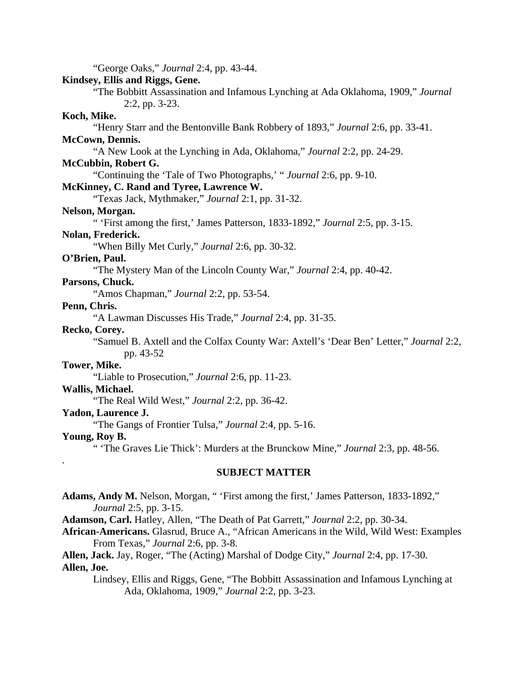"George Oaks," *Journal* 2:4, pp. 43-44.

## **Kindsey, Ellis and Riggs, Gene.**

 "The Bobbitt Assassination and Infamous Lynching at Ada Oklahoma, 1909," *Journal* 2:2, pp. 3-23.

# **Koch, Mike.**

"Henry Starr and the Bentonville Bank Robbery of 1893," *Journal* 2:6, pp. 33-41.

# **McCown, Dennis.**

"A New Look at the Lynching in Ada, Oklahoma," *Journal* 2:2, pp. 24-29.

# **McCubbin, Robert G.**

"Continuing the 'Tale of Two Photographs,' " *Journal* 2:6, pp. 9-10.

# **McKinney, C. Rand and Tyree, Lawrence W.**

"Texas Jack, Mythmaker," *Journal* 2:1, pp. 31-32.

### **Nelson, Morgan.**

" 'First among the first,' James Patterson, 1833-1892," *Journal* 2:5, pp. 3-15.

## **Nolan, Frederick.**

"When Billy Met Curly," *Journal* 2:6, pp. 30-32.

## **O'Brien, Paul.**

"The Mystery Man of the Lincoln County War," *Journal* 2:4, pp. 40-42.

# **Parsons, Chuck.**

"Amos Chapman," *Journal* 2:2, pp. 53-54.

## **Penn, Chris.**

"A Lawman Discusses His Trade," *Journal* 2:4, pp. 31-35.

# **Recko, Corey.**

 "Samuel B. Axtell and the Colfax County War: Axtell's 'Dear Ben' Letter," *Journal* 2:2, pp. 43-52

### **Tower, Mike.**

"Liable to Prosecution," *Journal* 2:6, pp. 11-23.

#### **Wallis, Michael.**

"The Real Wild West," *Journal* 2:2, pp. 36-42.

# **Yadon, Laurence J.**

"The Gangs of Frontier Tulsa," *Journal* 2:4, pp. 5-16.

## **Young, Roy B.**

.

" 'The Graves Lie Thick': Murders at the Brunckow Mine," *Journal* 2:3, pp. 48-56.

### **SUBJECT MATTER**

**Adams, Andy M.** Nelson, Morgan, " 'First among the first,' James Patterson, 1833-1892," *Journal* 2:5, pp. 3-15.

**Adamson, Carl.** Hatley, Allen, "The Death of Pat Garrett," *Journal* 2:2, pp. 30-34.

**African-Americans.** Glasrud, Bruce A., "African Americans in the Wild, Wild West: Examples From Texas," *Journal* 2:6, pp. 3-8.

**Allen, Jack.** Jay, Roger, "The (Acting) Marshal of Dodge City," *Journal* 2:4, pp. 17-30. **Allen, Joe.**

 Lindsey, Ellis and Riggs, Gene, "The Bobbitt Assassination and Infamous Lynching at Ada, Oklahoma, 1909," *Journal* 2:2, pp. 3-23.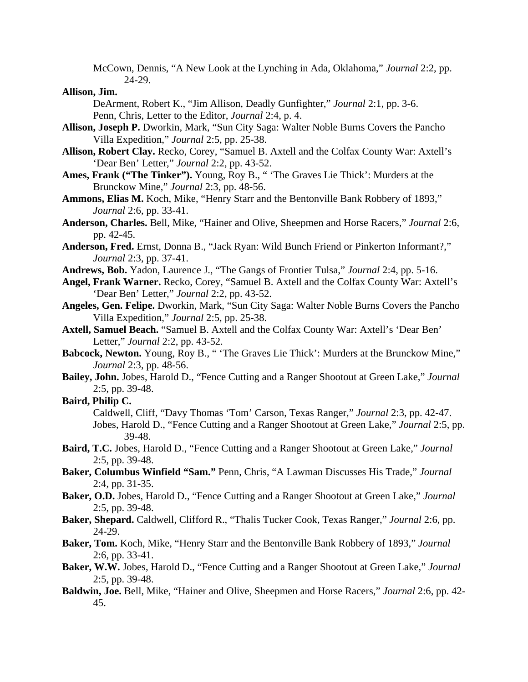McCown, Dennis, "A New Look at the Lynching in Ada, Oklahoma," *Journal* 2:2, pp. 24-29.

### **Allison, Jim.**

 DeArment, Robert K., "Jim Allison, Deadly Gunfighter," *Journal* 2:1, pp. 3-6. Penn, Chris, Letter to the Editor, *Journal* 2:4, p. 4.

- **Allison, Joseph P.** Dworkin, Mark, "Sun City Saga: Walter Noble Burns Covers the Pancho Villa Expedition," *Journal* 2:5, pp. 25-38.
- **Allison, Robert Clay.** Recko, Corey, "Samuel B. Axtell and the Colfax County War: Axtell's 'Dear Ben' Letter," *Journal* 2:2, pp. 43-52.
- **Ames, Frank ("The Tinker").** Young, Roy B., " 'The Graves Lie Thick': Murders at the Brunckow Mine," *Journal* 2:3, pp. 48-56.
- **Ammons, Elias M.** Koch, Mike, "Henry Starr and the Bentonville Bank Robbery of 1893," *Journal* 2:6, pp. 33-41.
- **Anderson, Charles.** Bell, Mike, "Hainer and Olive, Sheepmen and Horse Racers," *Journal* 2:6, pp. 42-45.
- **Anderson, Fred.** Ernst, Donna B., "Jack Ryan: Wild Bunch Friend or Pinkerton Informant?," *Journal* 2:3, pp. 37-41.
- **Andrews, Bob.** Yadon, Laurence J., "The Gangs of Frontier Tulsa," *Journal* 2:4, pp. 5-16.
- **Angel, Frank Warner.** Recko, Corey, "Samuel B. Axtell and the Colfax County War: Axtell's 'Dear Ben' Letter," *Journal* 2:2, pp. 43-52.
- **Angeles, Gen. Felipe.** Dworkin, Mark, "Sun City Saga: Walter Noble Burns Covers the Pancho Villa Expedition," *Journal* 2:5, pp. 25-38.
- **Axtell, Samuel Beach.** "Samuel B. Axtell and the Colfax County War: Axtell's 'Dear Ben' Letter," *Journal* 2:2, pp. 43-52.
- **Babcock, Newton.** Young, Roy B., " 'The Graves Lie Thick': Murders at the Brunckow Mine," *Journal* 2:3, pp. 48-56.
- **Bailey, John.** Jobes, Harold D., "Fence Cutting and a Ranger Shootout at Green Lake," *Journal* 2:5, pp. 39-48.
- **Baird, Philip C.**

 Caldwell, Cliff, "Davy Thomas 'Tom' Carson, Texas Ranger," *Journal* 2:3, pp. 42-47. Jobes, Harold D., "Fence Cutting and a Ranger Shootout at Green Lake," *Journal* 2:5, pp. 39-48.

- **Baird, T.C.** Jobes, Harold D., "Fence Cutting and a Ranger Shootout at Green Lake," *Journal* 2:5, pp. 39-48.
- **Baker, Columbus Winfield "Sam."** Penn, Chris, "A Lawman Discusses His Trade," *Journal* 2:4, pp. 31-35.
- **Baker, O.D.** Jobes, Harold D., "Fence Cutting and a Ranger Shootout at Green Lake," *Journal* 2:5, pp. 39-48.
- **Baker, Shepard.** Caldwell, Clifford R., "Thalis Tucker Cook, Texas Ranger," *Journal* 2:6, pp. 24-29.
- **Baker, Tom.** Koch, Mike, "Henry Starr and the Bentonville Bank Robbery of 1893," *Journal* 2:6, pp. 33-41.
- **Baker, W.W.** Jobes, Harold D., "Fence Cutting and a Ranger Shootout at Green Lake," *Journal* 2:5, pp. 39-48.
- **Baldwin, Joe.** Bell, Mike, "Hainer and Olive, Sheepmen and Horse Racers," *Journal* 2:6, pp. 42- 45.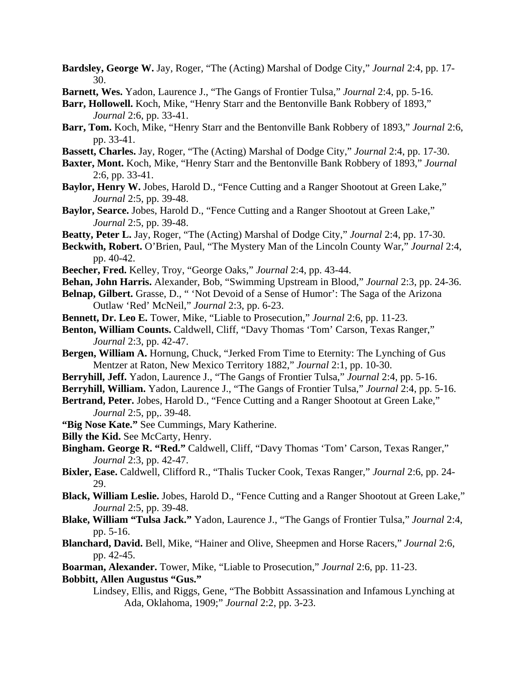- **Bardsley, George W.** Jay, Roger, "The (Acting) Marshal of Dodge City," *Journal* 2:4, pp. 17- 30.
- **Barnett, Wes.** Yadon, Laurence J., "The Gangs of Frontier Tulsa," *Journal* 2:4, pp. 5-16.
- **Barr, Hollowell.** Koch, Mike, "Henry Starr and the Bentonville Bank Robbery of 1893," *Journal* 2:6, pp. 33-41.
- **Barr, Tom.** Koch, Mike, "Henry Starr and the Bentonville Bank Robbery of 1893," *Journal* 2:6, pp. 33-41.
- **Bassett, Charles.** Jay, Roger, "The (Acting) Marshal of Dodge City," *Journal* 2:4, pp. 17-30.
- **Baxter, Mont.** Koch, Mike, "Henry Starr and the Bentonville Bank Robbery of 1893," *Journal* 2:6, pp. 33-41.
- **Baylor, Henry W.** Jobes, Harold D., "Fence Cutting and a Ranger Shootout at Green Lake," *Journal* 2:5, pp. 39-48.
- **Baylor, Searce.** Jobes, Harold D., "Fence Cutting and a Ranger Shootout at Green Lake," *Journal* 2:5, pp. 39-48.
- **Beatty, Peter L.** Jay, Roger, "The (Acting) Marshal of Dodge City," *Journal* 2:4, pp. 17-30.
- **Beckwith, Robert.** O'Brien, Paul, "The Mystery Man of the Lincoln County War," *Journal* 2:4, pp. 40-42.
- **Beecher, Fred.** Kelley, Troy, "George Oaks," *Journal* 2:4, pp. 43-44.
- **Behan, John Harris.** Alexander, Bob, "Swimming Upstream in Blood," *Journal* 2:3, pp. 24-36.
- **Belnap, Gilbert.** Grasse, D., " 'Not Devoid of a Sense of Humor': The Saga of the Arizona Outlaw 'Red' McNeil," *Journal* 2:3, pp. 6-23.
- **Bennett, Dr. Leo E.** Tower, Mike, "Liable to Prosecution," *Journal* 2:6, pp. 11-23.
- **Benton, William Counts.** Caldwell, Cliff, "Davy Thomas 'Tom' Carson, Texas Ranger," *Journal* 2:3, pp. 42-47.
- **Bergen, William A.** Hornung, Chuck, "Jerked From Time to Eternity: The Lynching of Gus Mentzer at Raton, New Mexico Territory 1882," *Journal* 2:1, pp. 10-30.
- **Berryhill, Jeff.** Yadon, Laurence J., "The Gangs of Frontier Tulsa," *Journal* 2:4, pp. 5-16.
- **Berryhill, William.** Yadon, Laurence J., "The Gangs of Frontier Tulsa," *Journal* 2:4, pp. 5-16.
- **Bertrand, Peter.** Jobes, Harold D., "Fence Cutting and a Ranger Shootout at Green Lake," *Journal* 2:5, pp,. 39-48.
- **"Big Nose Kate."** See Cummings, Mary Katherine.
- **Billy the Kid.** See McCarty, Henry.
- **Bingham. George R. "Red."** Caldwell, Cliff, "Davy Thomas 'Tom' Carson, Texas Ranger," *Journal* 2:3, pp. 42-47.
- **Bixler, Ease.** Caldwell, Clifford R., "Thalis Tucker Cook, Texas Ranger," *Journal* 2:6, pp. 24- 29.
- **Black, William Leslie.** Jobes, Harold D., "Fence Cutting and a Ranger Shootout at Green Lake," *Journal* 2:5, pp. 39-48.
- **Blake, William "Tulsa Jack."** Yadon, Laurence J., "The Gangs of Frontier Tulsa," *Journal* 2:4, pp. 5-16.
- **Blanchard, David.** Bell, Mike, "Hainer and Olive, Sheepmen and Horse Racers," *Journal* 2:6, pp. 42-45.
- **Boarman, Alexander.** Tower, Mike, "Liable to Prosecution," *Journal* 2:6, pp. 11-23.

#### **Bobbitt, Allen Augustus "Gus."**

 Lindsey, Ellis, and Riggs, Gene, "The Bobbitt Assassination and Infamous Lynching at Ada, Oklahoma, 1909;" *Journal* 2:2, pp. 3-23.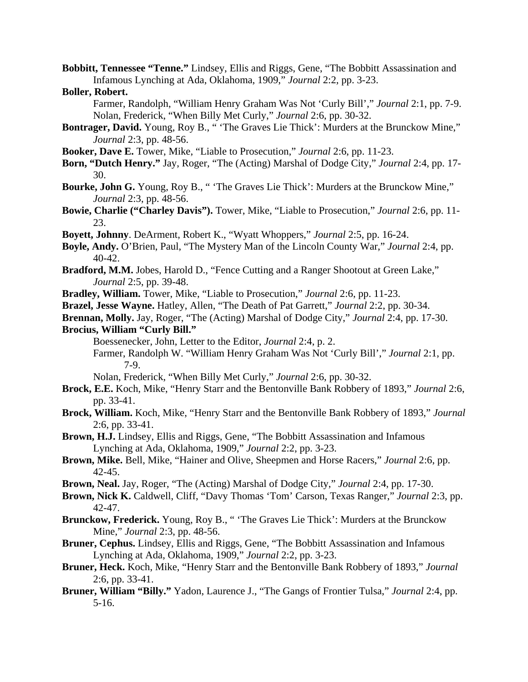**Bobbitt, Tennessee "Tenne."** Lindsey, Ellis and Riggs, Gene, "The Bobbitt Assassination and Infamous Lynching at Ada, Oklahoma, 1909," *Journal* 2:2, pp. 3-23.

### **Boller, Robert.**

 Farmer, Randolph, "William Henry Graham Was Not 'Curly Bill'," *Journal* 2:1, pp. 7-9. Nolan, Frederick, "When Billy Met Curly," *Journal* 2:6, pp. 30-32.

- **Bontrager, David.** Young, Roy B., " 'The Graves Lie Thick': Murders at the Brunckow Mine," *Journal* 2:3, pp. 48-56.
- **Booker, Dave E.** Tower, Mike, "Liable to Prosecution," *Journal* 2:6, pp. 11-23.
- **Born, "Dutch Henry."** Jay, Roger, "The (Acting) Marshal of Dodge City," *Journal* 2:4, pp. 17- 30.
- **Bourke, John G.** Young, Roy B., " 'The Graves Lie Thick': Murders at the Brunckow Mine," *Journal* 2:3, pp. 48-56.
- **Bowie, Charlie ("Charley Davis").** Tower, Mike, "Liable to Prosecution," *Journal* 2:6, pp. 11- 23.
- **Boyett, Johnny**. DeArment, Robert K., "Wyatt Whoppers," *Journal* 2:5, pp. 16-24.
- **Boyle, Andy.** O'Brien, Paul, "The Mystery Man of the Lincoln County War," *Journal* 2:4, pp. 40-42.
- **Bradford, M.M.** Jobes, Harold D., "Fence Cutting and a Ranger Shootout at Green Lake," *Journal* 2:5, pp. 39-48.
- **Bradley, William.** Tower, Mike, "Liable to Prosecution," *Journal* 2:6, pp. 11-23.
- **Brazel, Jesse Wayne.** Hatley, Allen, "The Death of Pat Garrett," *Journal* 2:2, pp. 30-34.
- **Brennan, Molly.** Jay, Roger, "The (Acting) Marshal of Dodge City," *Journal* 2:4, pp. 17-30.

# **Brocius, William "Curly Bill."**

- Boessenecker, John, Letter to the Editor, *Journal* 2:4, p. 2.
- Farmer, Randolph W. "William Henry Graham Was Not 'Curly Bill'," *Journal* 2:1, pp. 7-9.
- Nolan, Frederick, "When Billy Met Curly," *Journal* 2:6, pp. 30-32.
- **Brock, E.E.** Koch, Mike, "Henry Starr and the Bentonville Bank Robbery of 1893," *Journal* 2:6, pp. 33-41.
- **Brock, William.** Koch, Mike, "Henry Starr and the Bentonville Bank Robbery of 1893," *Journal* 2:6, pp. 33-41.
- **Brown, H.J.** Lindsey, Ellis and Riggs, Gene, "The Bobbitt Assassination and Infamous Lynching at Ada, Oklahoma, 1909," *Journal* 2:2, pp. 3-23.
- **Brown, Mike.** Bell, Mike, "Hainer and Olive, Sheepmen and Horse Racers," *Journal* 2:6, pp. 42-45.
- **Brown, Neal.** Jay, Roger, "The (Acting) Marshal of Dodge City," *Journal* 2:4, pp. 17-30.
- **Brown, Nick K.** Caldwell, Cliff, "Davy Thomas 'Tom' Carson, Texas Ranger," *Journal* 2:3, pp. 42-47.
- **Brunckow, Frederick.** Young, Roy B., " 'The Graves Lie Thick': Murders at the Brunckow Mine," *Journal* 2:3, pp. 48-56.
- **Bruner, Cephus.** Lindsey, Ellis and Riggs, Gene, "The Bobbitt Assassination and Infamous Lynching at Ada, Oklahoma, 1909," *Journal* 2:2, pp. 3-23.
- **Bruner, Heck.** Koch, Mike, "Henry Starr and the Bentonville Bank Robbery of 1893," *Journal* 2:6, pp. 33-41.
- **Bruner, William "Billy."** Yadon, Laurence J., "The Gangs of Frontier Tulsa," *Journal* 2:4, pp. 5-16.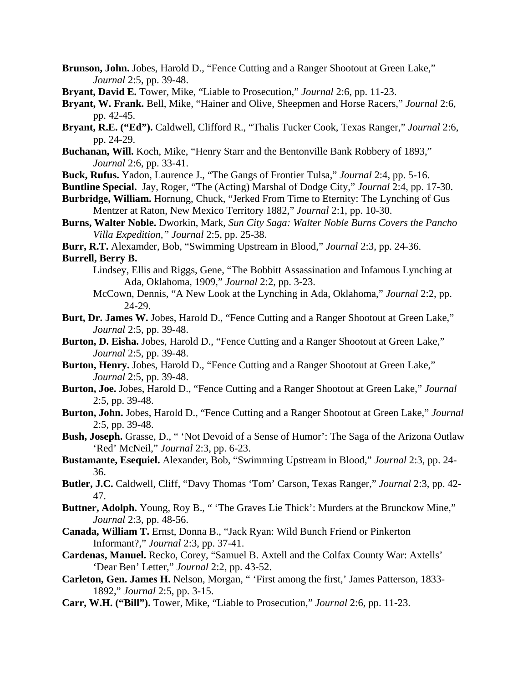- **Brunson, John.** Jobes, Harold D., "Fence Cutting and a Ranger Shootout at Green Lake," *Journal* 2:5, pp. 39-48.
- **Bryant, David E.** Tower, Mike, "Liable to Prosecution," *Journal* 2:6, pp. 11-23.
- **Bryant, W. Frank.** Bell, Mike, "Hainer and Olive, Sheepmen and Horse Racers," *Journal* 2:6, pp. 42-45.
- **Bryant, R.E. ("Ed").** Caldwell, Clifford R., "Thalis Tucker Cook, Texas Ranger," *Journal* 2:6, pp. 24-29.
- **Buchanan, Will.** Koch, Mike, "Henry Starr and the Bentonville Bank Robbery of 1893," *Journal* 2:6, pp. 33-41.
- **Buck, Rufus.** Yadon, Laurence J., "The Gangs of Frontier Tulsa," *Journal* 2:4, pp. 5-16.
- **Buntline Special.** Jay, Roger, "The (Acting) Marshal of Dodge City," *Journal* 2:4, pp. 17-30.
- **Burbridge, William.** Hornung, Chuck, "Jerked From Time to Eternity: The Lynching of Gus Mentzer at Raton, New Mexico Territory 1882," *Journal* 2:1, pp. 10-30.
- **Burns, Walter Noble.** Dworkin, Mark, *Sun City Saga: Walter Noble Burns Covers the Pancho Villa Expedition," Journal* 2:5, pp. 25-38.
- **Burr, R.T.** Alexamder, Bob, "Swimming Upstream in Blood," *Journal* 2:3, pp. 24-36.

#### **Burrell, Berry B.**

- Lindsey, Ellis and Riggs, Gene, "The Bobbitt Assassination and Infamous Lynching at Ada, Oklahoma, 1909," *Journal* 2:2, pp. 3-23.
- McCown, Dennis, "A New Look at the Lynching in Ada, Oklahoma," *Journal* 2:2, pp. 24-29.
- **Burt, Dr. James W.** Jobes, Harold D., "Fence Cutting and a Ranger Shootout at Green Lake," *Journal* 2:5, pp. 39-48.
- **Burton, D. Eisha.** Jobes, Harold D., "Fence Cutting and a Ranger Shootout at Green Lake," *Journal* 2:5, pp. 39-48.
- **Burton, Henry.** Jobes, Harold D., "Fence Cutting and a Ranger Shootout at Green Lake," *Journal* 2:5, pp. 39-48.
- **Burton, Joe.** Jobes, Harold D., "Fence Cutting and a Ranger Shootout at Green Lake," *Journal* 2:5, pp. 39-48.
- **Burton, John.** Jobes, Harold D., "Fence Cutting and a Ranger Shootout at Green Lake," *Journal* 2:5, pp. 39-48.
- **Bush, Joseph.** Grasse, D., " 'Not Devoid of a Sense of Humor': The Saga of the Arizona Outlaw 'Red' McNeil," *Journal* 2:3, pp. 6-23.
- **Bustamante, Esequiel.** Alexander, Bob, "Swimming Upstream in Blood," *Journal* 2:3, pp. 24- 36.
- **Butler, J.C.** Caldwell, Cliff, "Davy Thomas 'Tom' Carson, Texas Ranger," *Journal* 2:3, pp. 42- 47.
- **Buttner, Adolph.** Young, Roy B., " 'The Graves Lie Thick': Murders at the Brunckow Mine," *Journal* 2:3, pp. 48-56.
- **Canada, William T.** Ernst, Donna B., "Jack Ryan: Wild Bunch Friend or Pinkerton Informant?," *Journal* 2:3, pp. 37-41.
- **Cardenas, Manuel.** Recko, Corey, "Samuel B. Axtell and the Colfax County War: Axtells' 'Dear Ben' Letter," *Journal* 2:2, pp. 43-52.
- **Carleton, Gen. James H.** Nelson, Morgan, " 'First among the first,' James Patterson, 1833- 1892," *Journal* 2:5, pp. 3-15.
- **Carr, W.H. ("Bill").** Tower, Mike, "Liable to Prosecution," *Journal* 2:6, pp. 11-23.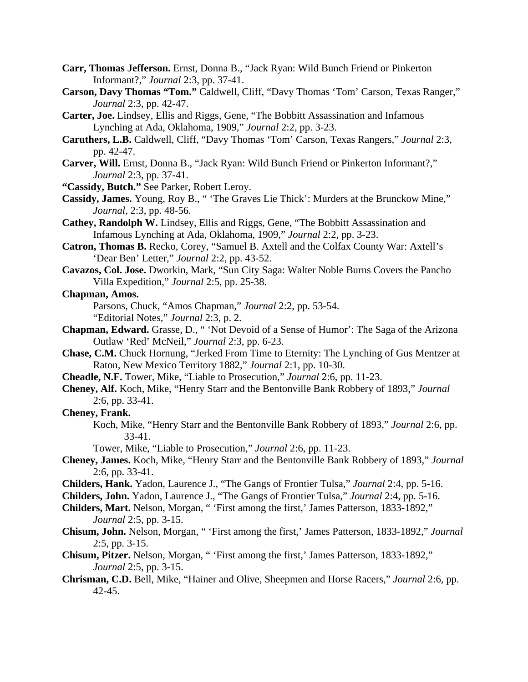- **Carr, Thomas Jefferson.** Ernst, Donna B., "Jack Ryan: Wild Bunch Friend or Pinkerton Informant?," *Journal* 2:3, pp. 37-41.
- **Carson, Davy Thomas "Tom."** Caldwell, Cliff, "Davy Thomas 'Tom' Carson, Texas Ranger," *Journal* 2:3, pp. 42-47.
- **Carter, Joe.** Lindsey, Ellis and Riggs, Gene, "The Bobbitt Assassination and Infamous Lynching at Ada, Oklahoma, 1909," *Journal* 2:2, pp. 3-23.
- **Caruthers, L.B.** Caldwell, Cliff, "Davy Thomas 'Tom' Carson, Texas Rangers," *Journal* 2:3, pp. 42-47.
- **Carver, Will.** Ernst, Donna B., "Jack Ryan: Wild Bunch Friend or Pinkerton Informant?," *Journal* 2:3, pp. 37-41.
- **"Cassidy, Butch."** See Parker, Robert Leroy.
- **Cassidy, James.** Young, Roy B., " 'The Graves Lie Thick': Murders at the Brunckow Mine," *Journal*, 2:3, pp. 48-56.
- **Cathey, Randolph W.** Lindsey, Ellis and Riggs, Gene, "The Bobbitt Assassination and Infamous Lynching at Ada, Oklahoma, 1909," *Journal* 2:2, pp. 3-23.
- **Catron, Thomas B.** Recko, Corey, "Samuel B. Axtell and the Colfax County War: Axtell's 'Dear Ben' Letter," *Journal* 2:2, pp. 43-52.
- **Cavazos, Col. Jose.** Dworkin, Mark, "Sun City Saga: Walter Noble Burns Covers the Pancho Villa Expedition," *Journal* 2:5, pp. 25-38.
- **Chapman, Amos.**

 Parsons, Chuck, "Amos Chapman," *Journal* 2:2, pp. 53-54. "Editorial Notes," *Journal* 2:3, p. 2.

- **Chapman, Edward.** Grasse, D., " 'Not Devoid of a Sense of Humor': The Saga of the Arizona Outlaw 'Red' McNeil," *Journal* 2:3, pp. 6-23.
- **Chase, C.M.** Chuck Hornung, "Jerked From Time to Eternity: The Lynching of Gus Mentzer at Raton, New Mexico Territory 1882," *Journal* 2:1, pp. 10-30.
- **Cheadle, N.F.** Tower, Mike, "Liable to Prosecution," *Journal* 2:6, pp. 11-23.
- **Cheney, Alf.** Koch, Mike, "Henry Starr and the Bentonville Bank Robbery of 1893," *Journal* 2:6, pp. 33-41.
- **Cheney, Frank.**
	- Koch, Mike, "Henry Starr and the Bentonville Bank Robbery of 1893," *Journal* 2:6, pp. 33-41.

Tower, Mike, "Liable to Prosecution," *Journal* 2:6, pp. 11-23.

- **Cheney, James.** Koch, Mike, "Henry Starr and the Bentonville Bank Robbery of 1893," *Journal* 2:6, pp. 33-41.
- **Childers, Hank.** Yadon, Laurence J., "The Gangs of Frontier Tulsa," *Journal* 2:4, pp. 5-16.
- **Childers, John.** Yadon, Laurence J., "The Gangs of Frontier Tulsa," *Journal* 2:4, pp. 5-16.
- **Childers, Mart.** Nelson, Morgan, " 'First among the first,' James Patterson, 1833-1892," *Journal* 2:5, pp. 3-15.
- **Chisum, John.** Nelson, Morgan, " 'First among the first,' James Patterson, 1833-1892," *Journal* 2:5, pp. 3-15.
- **Chisum, Pitzer.** Nelson, Morgan, " 'First among the first,' James Patterson, 1833-1892," *Journal* 2:5, pp. 3-15.
- **Chrisman, C.D.** Bell, Mike, "Hainer and Olive, Sheepmen and Horse Racers," *Journal* 2:6, pp. 42-45.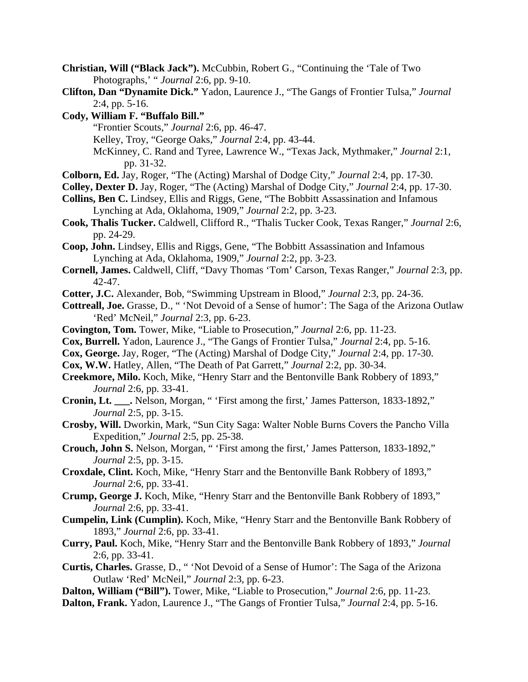- **Christian, Will ("Black Jack").** McCubbin, Robert G., "Continuing the 'Tale of Two Photographs,' " *Journal* 2:6, pp. 9-10.
- **Clifton, Dan "Dynamite Dick."** Yadon, Laurence J., "The Gangs of Frontier Tulsa," *Journal* 2:4, pp. 5-16.
- **Cody, William F. "Buffalo Bill."**
	- "Frontier Scouts," *Journal* 2:6, pp. 46-47.
	- Kelley, Troy, "George Oaks," *Journal* 2:4, pp. 43-44.
	- McKinney, C. Rand and Tyree, Lawrence W., "Texas Jack, Mythmaker," *Journal* 2:1, pp. 31-32.
- **Colborn, Ed.** Jay, Roger, "The (Acting) Marshal of Dodge City," *Journal* 2:4, pp. 17-30.
- **Colley, Dexter D.** Jay, Roger, "The (Acting) Marshal of Dodge City," *Journal* 2:4, pp. 17-30.
- **Collins, Ben C.** Lindsey, Ellis and Riggs, Gene, "The Bobbitt Assassination and Infamous Lynching at Ada, Oklahoma, 1909," *Journal* 2:2, pp. 3-23.
- **Cook, Thalis Tucker.** Caldwell, Clifford R., "Thalis Tucker Cook, Texas Ranger," *Journal* 2:6, pp. 24-29.
- **Coop, John.** Lindsey, Ellis and Riggs, Gene, "The Bobbitt Assassination and Infamous Lynching at Ada, Oklahoma, 1909," *Journal* 2:2, pp. 3-23.
- **Cornell, James.** Caldwell, Cliff, "Davy Thomas 'Tom' Carson, Texas Ranger," *Journal* 2:3, pp. 42-47.
- **Cotter, J.C.** Alexander, Bob, "Swimming Upstream in Blood," *Journal* 2:3, pp. 24-36.
- **Cottreall, Joe.** Grasse, D., " 'Not Devoid of a Sense of humor': The Saga of the Arizona Outlaw 'Red' McNeil," *Journal* 2:3, pp. 6-23.
- **Covington, Tom.** Tower, Mike, "Liable to Prosecution," *Journal* 2:6, pp. 11-23.
- **Cox, Burrell.** Yadon, Laurence J., "The Gangs of Frontier Tulsa," *Journal* 2:4, pp. 5-16.
- **Cox, George.** Jay, Roger, "The (Acting) Marshal of Dodge City," *Journal* 2:4, pp. 17-30.
- **Cox, W.W.** Hatley, Allen, "The Death of Pat Garrett," *Journal* 2:2, pp. 30-34.
- **Creekmore, Milo.** Koch, Mike, "Henry Starr and the Bentonville Bank Robbery of 1893," *Journal* 2:6, pp. 33-41.
- **Cronin, Lt. \_\_\_.** Nelson, Morgan, " 'First among the first,' James Patterson, 1833-1892," *Journal* 2:5, pp. 3-15.
- **Crosby, Will.** Dworkin, Mark, "Sun City Saga: Walter Noble Burns Covers the Pancho Villa Expedition," *Journal* 2:5, pp. 25-38.
- **Crouch, John S.** Nelson, Morgan, " 'First among the first,' James Patterson, 1833-1892," *Journal* 2:5, pp. 3-15.
- **Croxdale, Clint.** Koch, Mike, "Henry Starr and the Bentonville Bank Robbery of 1893," *Journal* 2:6, pp. 33-41.
- **Crump, George J.** Koch, Mike, "Henry Starr and the Bentonville Bank Robbery of 1893," *Journal* 2:6, pp. 33-41.
- **Cumpelin, Link (Cumplin).** Koch, Mike, "Henry Starr and the Bentonville Bank Robbery of 1893," *Journal* 2:6, pp. 33-41.
- **Curry, Paul.** Koch, Mike, "Henry Starr and the Bentonville Bank Robbery of 1893," *Journal* 2:6, pp. 33-41.
- **Curtis, Charles.** Grasse, D., " 'Not Devoid of a Sense of Humor': The Saga of the Arizona Outlaw 'Red' McNeil," *Journal* 2:3, pp. 6-23.
- **Dalton, William ("Bill").** Tower, Mike, "Liable to Prosecution," *Journal* 2:6, pp. 11-23.
- **Dalton, Frank.** Yadon, Laurence J., "The Gangs of Frontier Tulsa," *Journal* 2:4, pp. 5-16.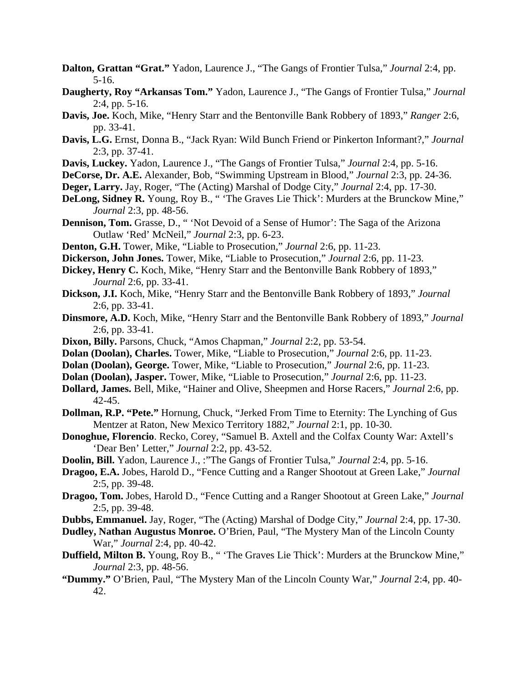- **Dalton, Grattan "Grat."** Yadon, Laurence J., "The Gangs of Frontier Tulsa," *Journal* 2:4, pp. 5-16.
- **Daugherty, Roy "Arkansas Tom."** Yadon, Laurence J., "The Gangs of Frontier Tulsa," *Journal* 2:4, pp. 5-16.
- **Davis, Joe.** Koch, Mike, "Henry Starr and the Bentonville Bank Robbery of 1893," *Ranger* 2:6, pp. 33-41.
- **Davis, L.G.** Ernst, Donna B., "Jack Ryan: Wild Bunch Friend or Pinkerton Informant?," *Journal* 2:3, pp. 37-41.
- **Davis, Luckey.** Yadon, Laurence J., "The Gangs of Frontier Tulsa," *Journal* 2:4, pp. 5-16.
- **DeCorse, Dr. A.E.** Alexander, Bob, "Swimming Upstream in Blood," *Journal* 2:3, pp. 24-36.
- **Deger, Larry.** Jay, Roger, "The (Acting) Marshal of Dodge City," *Journal* 2:4, pp. 17-30.
- **DeLong, Sidney R.** Young, Roy B., " 'The Graves Lie Thick': Murders at the Brunckow Mine," *Journal* 2:3, pp. 48-56.
- **Dennison, Tom.** Grasse, D., " 'Not Devoid of a Sense of Humor': The Saga of the Arizona Outlaw 'Red' McNeil," *Journal* 2:3, pp. 6-23.
- **Denton, G.H.** Tower, Mike, "Liable to Prosecution," *Journal* 2:6, pp. 11-23.
- **Dickerson, John Jones.** Tower, Mike, "Liable to Prosecution," *Journal* 2:6, pp. 11-23.
- **Dickey, Henry C.** Koch, Mike, "Henry Starr and the Bentonville Bank Robbery of 1893," *Journal* 2:6, pp. 33-41.
- **Dickson, J.I.** Koch, Mike, "Henry Starr and the Bentonville Bank Robbery of 1893," *Journal* 2:6, pp. 33-41.
- **Dinsmore, A.D.** Koch, Mike, "Henry Starr and the Bentonville Bank Robbery of 1893," *Journal* 2:6, pp. 33-41.
- **Dixon, Billy.** Parsons, Chuck, "Amos Chapman," *Journal* 2:2, pp. 53-54.
- **Dolan (Doolan), Charles.** Tower, Mike, "Liable to Prosecution," *Journal* 2:6, pp. 11-23.
- **Dolan (Doolan), George.** Tower, Mike, "Liable to Prosecution," *Journal* 2:6, pp. 11-23.
- **Dolan (Doolan), Jasper.** Tower, Mike, "Liable to Prosecution," *Journal* 2:6, pp. 11-23.
- **Dollard, James.** Bell, Mike, "Hainer and Olive, Sheepmen and Horse Racers," *Journal* 2:6, pp. 42-45.
- **Dollman, R.P. "Pete."** Hornung, Chuck, "Jerked From Time to Eternity: The Lynching of Gus Mentzer at Raton, New Mexico Territory 1882," *Journal* 2:1, pp. 10-30.
- **Donoghue, Florencio**. Recko, Corey, "Samuel B. Axtell and the Colfax County War: Axtell's 'Dear Ben' Letter," *Journal* 2:2, pp. 43-52.
- **Doolin, Bill.** Yadon, Laurence J., :"The Gangs of Frontier Tulsa," *Journal* 2:4, pp. 5-16.
- **Dragoo, E.A.** Jobes, Harold D., "Fence Cutting and a Ranger Shootout at Green Lake," *Journal* 2:5, pp. 39-48.
- **Dragoo, Tom.** Jobes, Harold D., "Fence Cutting and a Ranger Shootout at Green Lake," *Journal* 2:5, pp. 39-48.
- **Dubbs, Emmanuel.** Jay, Roger, "The (Acting) Marshal of Dodge City," *Journal* 2:4, pp. 17-30.
- **Dudley, Nathan Augustus Monroe.** O'Brien, Paul, "The Mystery Man of the Lincoln County War," *Journal* 2:4, pp. 40-42.
- **Duffield, Milton B.** Young, Roy B., " 'The Graves Lie Thick': Murders at the Brunckow Mine," *Journal* 2:3, pp. 48-56.
- **"Dummy."** O'Brien, Paul, "The Mystery Man of the Lincoln County War," *Journal* 2:4, pp. 40- 42.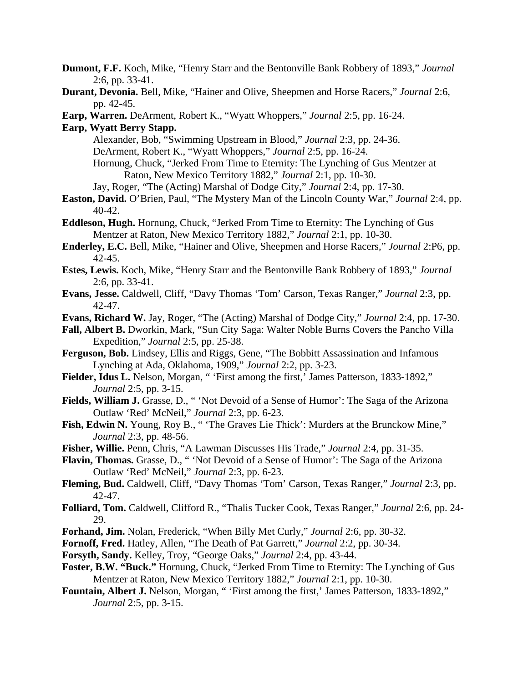- **Dumont, F.F.** Koch, Mike, "Henry Starr and the Bentonville Bank Robbery of 1893," *Journal* 2:6, pp. 33-41.
- **Durant, Devonia.** Bell, Mike, "Hainer and Olive, Sheepmen and Horse Racers," *Journal* 2:6, pp. 42-45.
- **Earp, Warren.** DeArment, Robert K., "Wyatt Whoppers," *Journal* 2:5, pp. 16-24.

**Earp, Wyatt Berry Stapp.**

- Alexander, Bob, "Swimming Upstream in Blood," *Journal* 2:3, pp. 24-36. DeArment, Robert K., "Wyatt Whoppers," *Journal* 2:5, pp. 16-24. Hornung, Chuck, "Jerked From Time to Eternity: The Lynching of Gus Mentzer at Raton, New Mexico Territory 1882," *Journal* 2:1, pp. 10-30.
	- Jay, Roger, "The (Acting) Marshal of Dodge City," *Journal* 2:4, pp. 17-30.
- **Easton, David.** O'Brien, Paul, "The Mystery Man of the Lincoln County War," *Journal* 2:4, pp. 40-42.
- **Eddleson, Hugh.** Hornung, Chuck, "Jerked From Time to Eternity: The Lynching of Gus Mentzer at Raton, New Mexico Territory 1882," *Journal* 2:1, pp. 10-30.
- **Enderley, E.C.** Bell, Mike, "Hainer and Olive, Sheepmen and Horse Racers," *Journal* 2:P6, pp. 42-45.
- **Estes, Lewis.** Koch, Mike, "Henry Starr and the Bentonville Bank Robbery of 1893," *Journal* 2:6, pp. 33-41.
- **Evans, Jesse.** Caldwell, Cliff, "Davy Thomas 'Tom' Carson, Texas Ranger," *Journal* 2:3, pp. 42-47.
- **Evans, Richard W.** Jay, Roger, "The (Acting) Marshal of Dodge City," *Journal* 2:4, pp. 17-30.
- **Fall, Albert B.** Dworkin, Mark, "Sun City Saga: Walter Noble Burns Covers the Pancho Villa Expedition," *Journal* 2:5, pp. 25-38.
- **Ferguson, Bob.** Lindsey, Ellis and Riggs, Gene, "The Bobbitt Assassination and Infamous Lynching at Ada, Oklahoma, 1909," *Journal* 2:2, pp. 3-23.
- Fielder, Idus L. Nelson, Morgan, " 'First among the first,' James Patterson, 1833-1892," *Journal* 2:5, pp. 3-15.
- **Fields, William J.** Grasse, D., " 'Not Devoid of a Sense of Humor': The Saga of the Arizona Outlaw 'Red' McNeil," *Journal* 2:3, pp. 6-23.
- Fish, Edwin N. Young, Roy B., " 'The Graves Lie Thick': Murders at the Brunckow Mine," *Journal* 2:3, pp. 48-56.
- **Fisher, Willie.** Penn, Chris, "A Lawman Discusses His Trade," *Journal* 2:4, pp. 31-35.
- **Flavin, Thomas.** Grasse, D., " 'Not Devoid of a Sense of Humor': The Saga of the Arizona Outlaw 'Red' McNeil," *Journal* 2:3, pp. 6-23.
- **Fleming, Bud.** Caldwell, Cliff, "Davy Thomas 'Tom' Carson, Texas Ranger," *Journal* 2:3, pp. 42-47.
- **Folliard, Tom.** Caldwell, Clifford R., "Thalis Tucker Cook, Texas Ranger," *Journal* 2:6, pp. 24- 29.
- **Forhand, Jim.** Nolan, Frederick, "When Billy Met Curly," *Journal* 2:6, pp. 30-32.
- **Fornoff, Fred.** Hatley, Allen, "The Death of Pat Garrett," *Journal* 2:2, pp. 30-34.
- **Forsyth, Sandy.** Kelley, Troy, "George Oaks," *Journal* 2:4, pp. 43-44.
- **Foster, B.W. "Buck."** Hornung, Chuck, "Jerked From Time to Eternity: The Lynching of Gus Mentzer at Raton, New Mexico Territory 1882," *Journal* 2:1, pp. 10-30.
- **Fountain, Albert J.** Nelson, Morgan, " 'First among the first,' James Patterson, 1833-1892," *Journal* 2:5, pp. 3-15.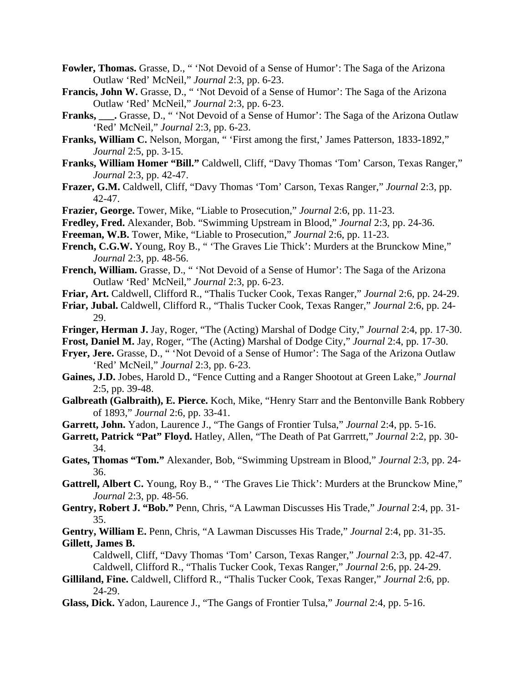- **Fowler, Thomas.** Grasse, D., " 'Not Devoid of a Sense of Humor': The Saga of the Arizona Outlaw 'Red' McNeil," *Journal* 2:3, pp. 6-23.
- **Francis, John W.** Grasse, D., " 'Not Devoid of a Sense of Humor': The Saga of the Arizona Outlaw 'Red' McNeil," *Journal* 2:3, pp. 6-23.
- **Franks, \_\_\_.** Grasse, D., " 'Not Devoid of a Sense of Humor': The Saga of the Arizona Outlaw 'Red' McNeil," *Journal* 2:3, pp. 6-23.
- **Franks, William C.** Nelson, Morgan, " 'First among the first,' James Patterson, 1833-1892," *Journal* 2:5, pp. 3-15.
- **Franks, William Homer "Bill."** Caldwell, Cliff, "Davy Thomas 'Tom' Carson, Texas Ranger," *Journal* 2:3, pp. 42-47.
- **Frazer, G.M.** Caldwell, Cliff, "Davy Thomas 'Tom' Carson, Texas Ranger," *Journal* 2:3, pp. 42-47.
- **Frazier, George.** Tower, Mike, "Liable to Prosecution," *Journal* 2:6, pp. 11-23.
- **Fredley, Fred.** Alexander, Bob. "Swimming Upstream in Blood," *Journal* 2:3, pp. 24-36.
- **Freeman, W.B.** Tower, Mike, "Liable to Prosecution," *Journal* 2:6, pp. 11-23.
- French, C.G.W. Young, Roy B., "The Graves Lie Thick': Murders at the Brunckow Mine," *Journal* 2:3, pp. 48-56.
- **French, William.** Grasse, D., " 'Not Devoid of a Sense of Humor': The Saga of the Arizona Outlaw 'Red' McNeil," *Journal* 2:3, pp. 6-23.
- **Friar, Art.** Caldwell, Clifford R., "Thalis Tucker Cook, Texas Ranger," *Journal* 2:6, pp. 24-29.
- **Friar, Jubal.** Caldwell, Clifford R., "Thalis Tucker Cook, Texas Ranger," *Journal* 2:6, pp. 24- 29.
- **Fringer, Herman J.** Jay, Roger, "The (Acting) Marshal of Dodge City," *Journal* 2:4, pp. 17-30.
- **Frost, Daniel M.** Jay, Roger, "The (Acting) Marshal of Dodge City," *Journal* 2:4, pp. 17-30.
- **Fryer, Jere.** Grasse, D., " 'Not Devoid of a Sense of Humor': The Saga of the Arizona Outlaw 'Red' McNeil," *Journal* 2:3, pp. 6-23.
- **Gaines, J.D.** Jobes, Harold D., "Fence Cutting and a Ranger Shootout at Green Lake," *Journal* 2:5, pp. 39-48.
- **Galbreath (Galbraith), E. Pierce.** Koch, Mike, "Henry Starr and the Bentonville Bank Robbery of 1893," *Journal* 2:6, pp. 33-41.
- **Garrett, John.** Yadon, Laurence J., "The Gangs of Frontier Tulsa," *Journal* 2:4, pp. 5-16.
- **Garrett, Patrick "Pat" Floyd.** Hatley, Allen, "The Death of Pat Garrrett," *Journal* 2:2, pp. 30- 34.
- **Gates, Thomas "Tom."** Alexander, Bob, "Swimming Upstream in Blood," *Journal* 2:3, pp. 24- 36.
- **Gattrell, Albert C.** Young, Roy B., " 'The Graves Lie Thick': Murders at the Brunckow Mine," *Journal* 2:3, pp. 48-56.
- **Gentry, Robert J. "Bob."** Penn, Chris, "A Lawman Discusses His Trade," *Journal* 2:4, pp. 31- 35.
- **Gentry, William E.** Penn, Chris, "A Lawman Discusses His Trade," *Journal* 2:4, pp. 31-35. **Gillett, James B.**

 Caldwell, Cliff, "Davy Thomas 'Tom' Carson, Texas Ranger," *Journal* 2:3, pp. 42-47. Caldwell, Clifford R., "Thalis Tucker Cook, Texas Ranger," *Journal* 2:6, pp. 24-29.

- **Gilliland, Fine.** Caldwell, Clifford R., "Thalis Tucker Cook, Texas Ranger," *Journal* 2:6, pp. 24-29.
- **Glass, Dick.** Yadon, Laurence J., "The Gangs of Frontier Tulsa," *Journal* 2:4, pp. 5-16.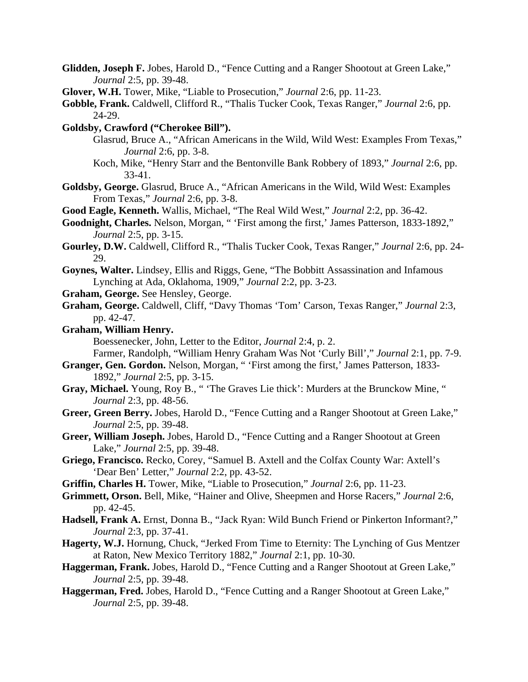- **Glidden, Joseph F.** Jobes, Harold D., "Fence Cutting and a Ranger Shootout at Green Lake," *Journal* 2:5, pp. 39-48.
- **Glover, W.H.** Tower, Mike, "Liable to Prosecution," *Journal* 2:6, pp. 11-23.
- **Gobble, Frank.** Caldwell, Clifford R., "Thalis Tucker Cook, Texas Ranger," *Journal* 2:6, pp. 24-29.
- **Goldsby, Crawford ("Cherokee Bill").**
	- Glasrud, Bruce A., "African Americans in the Wild, Wild West: Examples From Texas," *Journal* 2:6, pp. 3-8.
	- Koch, Mike, "Henry Starr and the Bentonville Bank Robbery of 1893," *Journal* 2:6, pp. 33-41.
- **Goldsby, George.** Glasrud, Bruce A., "African Americans in the Wild, Wild West: Examples From Texas," *Journal* 2:6, pp. 3-8.
- **Good Eagle, Kenneth.** Wallis, Michael, "The Real Wild West," *Journal* 2:2, pp. 36-42.
- **Goodnight, Charles.** Nelson, Morgan, " 'First among the first,' James Patterson, 1833-1892," *Journal* 2:5, pp. 3-15.
- **Gourley, D.W.** Caldwell, Clifford R., "Thalis Tucker Cook, Texas Ranger," *Journal* 2:6, pp. 24- 29.
- **Goynes, Walter.** Lindsey, Ellis and Riggs, Gene, "The Bobbitt Assassination and Infamous Lynching at Ada, Oklahoma, 1909," *Journal* 2:2, pp. 3-23.
- **Graham, George.** See Hensley, George.
- **Graham, George.** Caldwell, Cliff, "Davy Thomas 'Tom' Carson, Texas Ranger," *Journal* 2:3, pp. 42-47.
- **Graham, William Henry.**
	- Boessenecker, John, Letter to the Editor, *Journal* 2:4, p. 2.
	- Farmer, Randolph, "William Henry Graham Was Not 'Curly Bill'," *Journal* 2:1, pp. 7-9.
- **Granger, Gen. Gordon.** Nelson, Morgan, " 'First among the first,' James Patterson, 1833- 1892," *Journal* 2:5, pp. 3-15.
- **Gray, Michael.** Young, Roy B., " 'The Graves Lie thick': Murders at the Brunckow Mine, " *Journal* 2:3, pp. 48-56.
- **Greer, Green Berry.** Jobes, Harold D., "Fence Cutting and a Ranger Shootout at Green Lake," *Journal* 2:5, pp. 39-48.
- **Greer, William Joseph.** Jobes, Harold D., "Fence Cutting and a Ranger Shootout at Green Lake," *Journal* 2:5, pp. 39-48.
- **Griego, Francisco.** Recko, Corey, "Samuel B. Axtell and the Colfax County War: Axtell's 'Dear Ben' Letter," *Journal* 2:2, pp. 43-52.
- **Griffin, Charles H.** Tower, Mike, "Liable to Prosecution," *Journal* 2:6, pp. 11-23.
- **Grimmett, Orson.** Bell, Mike, "Hainer and Olive, Sheepmen and Horse Racers," *Journal* 2:6, pp. 42-45.
- **Hadsell, Frank A.** Ernst, Donna B., "Jack Ryan: Wild Bunch Friend or Pinkerton Informant?," *Journal* 2:3, pp. 37-41.
- **Hagerty, W.J.** Hornung, Chuck, "Jerked From Time to Eternity: The Lynching of Gus Mentzer at Raton, New Mexico Territory 1882," *Journal* 2:1, pp. 10-30.
- **Haggerman, Frank.** Jobes, Harold D., "Fence Cutting and a Ranger Shootout at Green Lake," *Journal* 2:5, pp. 39-48.
- **Haggerman, Fred.** Jobes, Harold D., "Fence Cutting and a Ranger Shootout at Green Lake," *Journal* 2:5, pp. 39-48.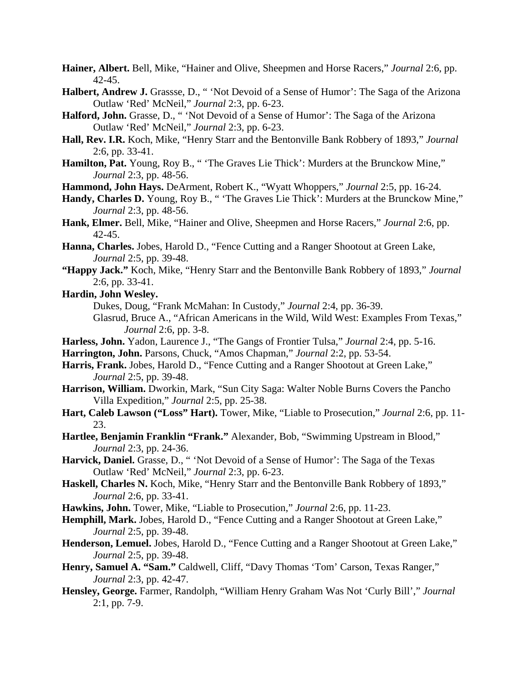- **Hainer, Albert.** Bell, Mike, "Hainer and Olive, Sheepmen and Horse Racers," *Journal* 2:6, pp. 42-45.
- **Halbert, Andrew J.** Grassse, D., " 'Not Devoid of a Sense of Humor': The Saga of the Arizona Outlaw 'Red' McNeil," *Journal* 2:3, pp. 6-23.
- **Halford, John.** Grasse, D., " 'Not Devoid of a Sense of Humor': The Saga of the Arizona Outlaw 'Red' McNeil," *Journal* 2:3, pp. 6-23.
- **Hall, Rev. I.R.** Koch, Mike, "Henry Starr and the Bentonville Bank Robbery of 1893," *Journal* 2:6, pp. 33-41.
- **Hamilton, Pat.** Young, Roy B., " 'The Graves Lie Thick': Murders at the Brunckow Mine," *Journal* 2:3, pp. 48-56.
- **Hammond, John Hays.** DeArment, Robert K., "Wyatt Whoppers," *Journal* 2:5, pp. 16-24.
- Handy, Charles D. Young, Roy B., "The Graves Lie Thick': Murders at the Brunckow Mine," *Journal* 2:3, pp. 48-56.
- **Hank, Elmer.** Bell, Mike, "Hainer and Olive, Sheepmen and Horse Racers," *Journal* 2:6, pp. 42-45.
- **Hanna, Charles.** Jobes, Harold D., "Fence Cutting and a Ranger Shootout at Green Lake, *Journal* 2:5, pp. 39-48.
- **"Happy Jack."** Koch, Mike, "Henry Starr and the Bentonville Bank Robbery of 1893," *Journal* 2:6, pp. 33-41.
- **Hardin, John Wesley.**
	- Dukes, Doug, "Frank McMahan: In Custody," *Journal* 2:4, pp. 36-39.
	- Glasrud, Bruce A., "African Americans in the Wild, Wild West: Examples From Texas," *Journal* 2:6, pp. 3-8.
- **Harless, John.** Yadon, Laurence J., "The Gangs of Frontier Tulsa," *Journal* 2:4, pp. 5-16.
- **Harrington, John.** Parsons, Chuck, "Amos Chapman," *Journal* 2:2, pp. 53-54.
- **Harris, Frank.** Jobes, Harold D., "Fence Cutting and a Ranger Shootout at Green Lake," *Journal* 2:5, pp. 39-48.
- **Harrison, William.** Dworkin, Mark, "Sun City Saga: Walter Noble Burns Covers the Pancho Villa Expedition," *Journal* 2:5, pp. 25-38.
- **Hart, Caleb Lawson ("Loss" Hart).** Tower, Mike, "Liable to Prosecution," *Journal* 2:6, pp. 11- 23.
- **Hartlee, Benjamin Franklin "Frank."** Alexander, Bob, "Swimming Upstream in Blood," *Journal* 2:3, pp. 24-36.
- **Harvick, Daniel.** Grasse, D., " 'Not Devoid of a Sense of Humor': The Saga of the Texas Outlaw 'Red' McNeil," *Journal* 2:3, pp. 6-23.
- **Haskell, Charles N.** Koch, Mike, "Henry Starr and the Bentonville Bank Robbery of 1893," *Journal* 2:6, pp. 33-41.
- **Hawkins, John.** Tower, Mike, "Liable to Prosecution," *Journal* 2:6, pp. 11-23.
- **Hemphill, Mark.** Jobes, Harold D., "Fence Cutting and a Ranger Shootout at Green Lake," *Journal* 2:5, pp. 39-48.
- **Henderson, Lemuel.** Jobes, Harold D., "Fence Cutting and a Ranger Shootout at Green Lake," *Journal* 2:5, pp. 39-48.
- **Henry, Samuel A. "Sam."** Caldwell, Cliff, "Davy Thomas 'Tom' Carson, Texas Ranger," *Journal* 2:3, pp. 42-47.
- **Hensley, George.** Farmer, Randolph, "William Henry Graham Was Not 'Curly Bill'," *Journal* 2:1, pp. 7-9.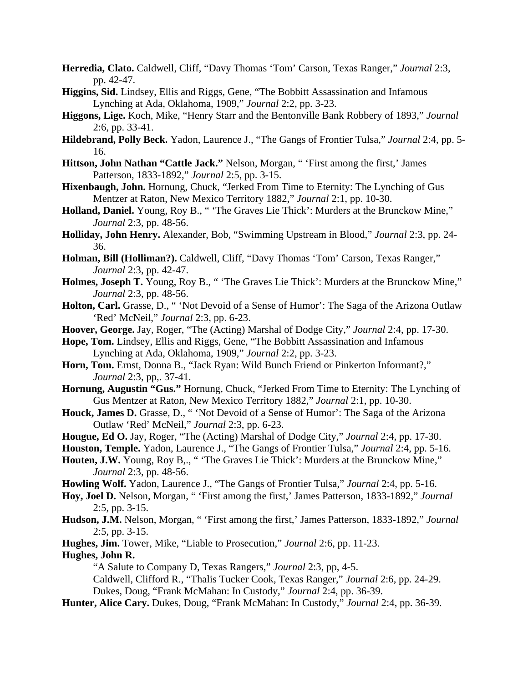- **Herredia, Clato.** Caldwell, Cliff, "Davy Thomas 'Tom' Carson, Texas Ranger," *Journal* 2:3, pp. 42-47.
- **Higgins, Sid.** Lindsey, Ellis and Riggs, Gene, "The Bobbitt Assassination and Infamous Lynching at Ada, Oklahoma, 1909," *Journal* 2:2, pp. 3-23.
- **Higgons, Lige.** Koch, Mike, "Henry Starr and the Bentonville Bank Robbery of 1893," *Journal* 2:6, pp. 33-41.
- **Hildebrand, Polly Beck.** Yadon, Laurence J., "The Gangs of Frontier Tulsa," *Journal* 2:4, pp. 5- 16.
- **Hittson, John Nathan "Cattle Jack."** Nelson, Morgan, " 'First among the first,' James Patterson, 1833-1892," *Journal* 2:5, pp. 3-15.
- **Hixenbaugh, John.** Hornung, Chuck, "Jerked From Time to Eternity: The Lynching of Gus Mentzer at Raton, New Mexico Territory 1882," *Journal* 2:1, pp. 10-30.
- **Holland, Daniel.** Young, Roy B., " 'The Graves Lie Thick': Murders at the Brunckow Mine," *Journal* 2:3, pp. 48-56.
- **Holliday, John Henry.** Alexander, Bob, "Swimming Upstream in Blood," *Journal* 2:3, pp. 24- 36.
- **Holman, Bill (Holliman?).** Caldwell, Cliff, "Davy Thomas 'Tom' Carson, Texas Ranger," *Journal* 2:3, pp. 42-47.
- **Holmes, Joseph T.** Young, Roy B., " 'The Graves Lie Thick': Murders at the Brunckow Mine," *Journal* 2:3, pp. 48-56.
- **Holton, Carl.** Grasse, D., " 'Not Devoid of a Sense of Humor': The Saga of the Arizona Outlaw 'Red' McNeil," *Journal* 2:3, pp. 6-23.
- **Hoover, George.** Jay, Roger, "The (Acting) Marshal of Dodge City," *Journal* 2:4, pp. 17-30.
- **Hope, Tom.** Lindsey, Ellis and Riggs, Gene, "The Bobbitt Assassination and Infamous Lynching at Ada, Oklahoma, 1909," *Journal* 2:2, pp. 3-23.
- **Horn, Tom.** Ernst, Donna B., "Jack Ryan: Wild Bunch Friend or Pinkerton Informant?," *Journal* 2:3, pp,. 37-41.
- **Hornung, Augustin "Gus."** Hornung, Chuck, "Jerked From Time to Eternity: The Lynching of Gus Mentzer at Raton, New Mexico Territory 1882," *Journal* 2:1, pp. 10-30.
- **Houck, James D.** Grasse, D., " 'Not Devoid of a Sense of Humor': The Saga of the Arizona Outlaw 'Red' McNeil," *Journal* 2:3, pp. 6-23.
- **Hougue, Ed O.** Jay, Roger, "The (Acting) Marshal of Dodge City," *Journal* 2:4, pp. 17-30.
- **Houston, Temple.** Yadon, Laurence J., "The Gangs of Frontier Tulsa," *Journal* 2:4, pp. 5-16.
- Houten, J.W. Young, Roy B,., "The Graves Lie Thick': Murders at the Brunckow Mine," *Journal* 2:3, pp. 48-56.
- **Howling Wolf.** Yadon, Laurence J., "The Gangs of Frontier Tulsa," *Journal* 2:4, pp. 5-16.
- **Hoy, Joel D.** Nelson, Morgan, " 'First among the first,' James Patterson, 1833-1892," *Journal* 2:5, pp. 3-15.
- **Hudson, J.M.** Nelson, Morgan, " 'First among the first,' James Patterson, 1833-1892," *Journal* 2:5, pp. 3-15.
- **Hughes, Jim.** Tower, Mike, "Liable to Prosecution," *Journal* 2:6, pp. 11-23.

**Hughes, John R.**

- "A Salute to Company D, Texas Rangers," *Journal* 2:3, pp, 4-5.
- Caldwell, Clifford R., "Thalis Tucker Cook, Texas Ranger," *Journal* 2:6, pp. 24-29.
- Dukes, Doug, "Frank McMahan: In Custody," *Journal* 2:4, pp. 36-39.
- **Hunter, Alice Cary.** Dukes, Doug, "Frank McMahan: In Custody," *Journal* 2:4, pp. 36-39.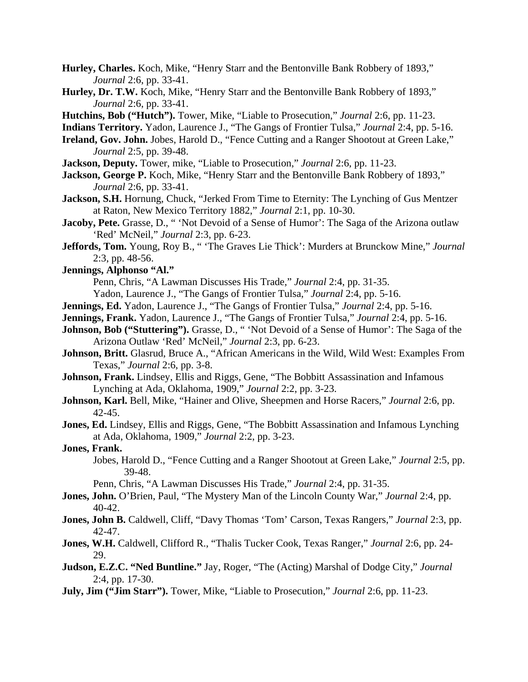- **Hurley, Charles.** Koch, Mike, "Henry Starr and the Bentonville Bank Robbery of 1893," *Journal* 2:6, pp. 33-41.
- **Hurley, Dr. T.W.** Koch, Mike, "Henry Starr and the Bentonville Bank Robbery of 1893," *Journal* 2:6, pp. 33-41.
- **Hutchins, Bob ("Hutch").** Tower, Mike, "Liable to Prosecution," *Journal* 2:6, pp. 11-23.
- **Indians Territory.** Yadon, Laurence J., "The Gangs of Frontier Tulsa," *Journal* 2:4, pp. 5-16.
- **Ireland, Gov. John.** Jobes, Harold D., "Fence Cutting and a Ranger Shootout at Green Lake," *Journal* 2:5, pp. 39-48.
- **Jackson, Deputy.** Tower, mike, "Liable to Prosecution," *Journal* 2:6, pp. 11-23.
- **Jackson, George P.** Koch, Mike, "Henry Starr and the Bentonville Bank Robbery of 1893," *Journal* 2:6, pp. 33-41.
- **Jackson, S.H.** Hornung, Chuck, "Jerked From Time to Eternity: The Lynching of Gus Mentzer at Raton, New Mexico Territory 1882," *Journal* 2:1, pp. 10-30.
- Jacoby, Pete. Grasse, D., "Yot Devoid of a Sense of Humor': The Saga of the Arizona outlaw 'Red' McNeil," *Journal* 2:3, pp. 6-23.
- **Jeffords, Tom.** Young, Roy B., " 'The Graves Lie Thick': Murders at Brunckow Mine," *Journal* 2:3, pp. 48-56.
- **Jennings, Alphonso "Al."**

Penn, Chris, "A Lawman Discusses His Trade," *Journal* 2:4, pp. 31-35.

- Yadon, Laurence J., "The Gangs of Frontier Tulsa," *Journal* 2:4, pp. 5-16.
- **Jennings, Ed.** Yadon, Laurence J., "The Gangs of Frontier Tulsa," *Journal* 2:4, pp. 5-16.
- **Jennings, Frank.** Yadon, Laurence J., "The Gangs of Frontier Tulsa," *Journal* 2:4, pp. 5-16.
- **Johnson, Bob ("Stuttering").** Grasse, D., " 'Not Devoid of a Sense of Humor': The Saga of the Arizona Outlaw 'Red' McNeil," *Journal* 2:3, pp. 6-23.
- **Johnson, Britt.** Glasrud, Bruce A., "African Americans in the Wild, Wild West: Examples From Texas," *Journal* 2:6, pp. 3-8.
- **Johnson, Frank.** Lindsey, Ellis and Riggs, Gene, "The Bobbitt Assassination and Infamous Lynching at Ada, Oklahoma, 1909," *Journal* 2:2, pp. 3-23.
- **Johnson, Karl.** Bell, Mike, "Hainer and Olive, Sheepmen and Horse Racers," *Journal* 2:6, pp. 42-45.
- **Jones, Ed.** Lindsey, Ellis and Riggs, Gene, "The Bobbitt Assassination and Infamous Lynching at Ada, Oklahoma, 1909," *Journal* 2:2, pp. 3-23.

### **Jones, Frank.**

 Jobes, Harold D., "Fence Cutting and a Ranger Shootout at Green Lake," *Journal* 2:5, pp. 39-48.

Penn, Chris, "A Lawman Discusses His Trade," *Journal* 2:4, pp. 31-35.

- **Jones, John.** O'Brien, Paul, "The Mystery Man of the Lincoln County War," *Journal* 2:4, pp. 40-42.
- **Jones, John B.** Caldwell, Cliff, "Davy Thomas 'Tom' Carson, Texas Rangers," *Journal* 2:3, pp. 42-47.
- **Jones, W.H.** Caldwell, Clifford R., "Thalis Tucker Cook, Texas Ranger," *Journal* 2:6, pp. 24- 29.
- **Judson, E.Z.C. "Ned Buntline."** Jay, Roger, "The (Acting) Marshal of Dodge City," *Journal* 2:4, pp. 17-30.
- **July, Jim ("Jim Starr").** Tower, Mike, "Liable to Prosecution," *Journal* 2:6, pp. 11-23.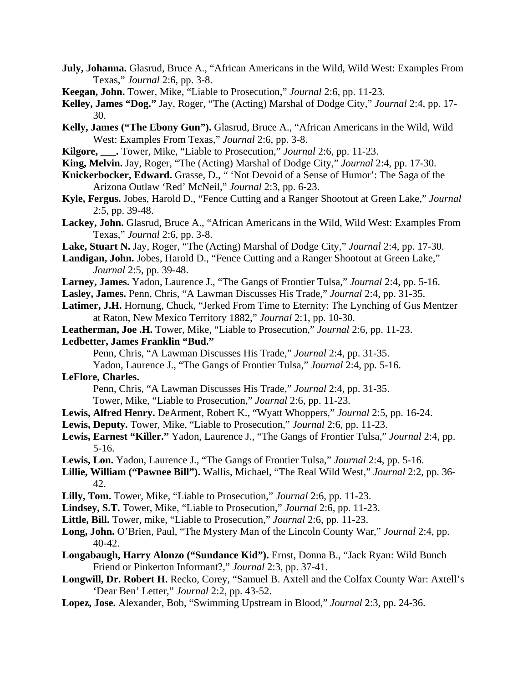- **July, Johanna.** Glasrud, Bruce A., "African Americans in the Wild, Wild West: Examples From Texas," *Journal* 2:6, pp. 3-8.
- **Keegan, John.** Tower, Mike, "Liable to Prosecution," *Journal* 2:6, pp. 11-23.
- **Kelley, James "Dog."** Jay, Roger, "The (Acting) Marshal of Dodge City," *Journal* 2:4, pp. 17- 30.
- **Kelly, James ("The Ebony Gun").** Glasrud, Bruce A., "African Americans in the Wild, Wild West: Examples From Texas," *Journal* 2:6, pp. 3-8.
- **Kilgore, \_\_\_.** Tower, Mike, "Liable to Prosecution," *Journal* 2:6, pp. 11-23.
- **King, Melvin.** Jay, Roger, "The (Acting) Marshal of Dodge City," *Journal* 2:4, pp. 17-30.
- **Knickerbocker, Edward.** Grasse, D., " 'Not Devoid of a Sense of Humor': The Saga of the Arizona Outlaw 'Red' McNeil," *Journal* 2:3, pp. 6-23.
- **Kyle, Fergus.** Jobes, Harold D., "Fence Cutting and a Ranger Shootout at Green Lake," *Journal* 2:5, pp. 39-48.
- **Lackey, John.** Glasrud, Bruce A., "African Americans in the Wild, Wild West: Examples From Texas," *Journal* 2:6, pp. 3-8.
- **Lake, Stuart N.** Jay, Roger, "The (Acting) Marshal of Dodge City," *Journal* 2:4, pp. 17-30.
- **Landigan, John.** Jobes, Harold D., "Fence Cutting and a Ranger Shootout at Green Lake," *Journal* 2:5, pp. 39-48.
- **Larney, James.** Yadon, Laurence J., "The Gangs of Frontier Tulsa," *Journal* 2:4, pp. 5-16.
- **Lasley, James.** Penn, Chris, "A Lawman Discusses His Trade," *Journal* 2:4, pp. 31-35.
- **Latimer, J.H.** Hornung, Chuck, "Jerked From Time to Eternity: The Lynching of Gus Mentzer at Raton, New Mexico Territory 1882," *Journal* 2:1, pp. 10-30.
- **Leatherman, Joe .H.** Tower, Mike, "Liable to Prosecution," *Journal* 2:6, pp. 11-23.
- **Ledbetter, James Franklin "Bud."**
	- Penn, Chris, "A Lawman Discusses His Trade," *Journal* 2:4, pp. 31-35.
	- Yadon, Laurence J., "The Gangs of Frontier Tulsa," *Journal* 2:4, pp. 5-16.

### **LeFlore, Charles.**

Penn, Chris, "A Lawman Discusses His Trade," *Journal* 2:4, pp. 31-35.

Tower, Mike, "Liable to Prosecution," *Journal* 2:6, pp. 11-23.

- **Lewis, Alfred Henry.** DeArment, Robert K., "Wyatt Whoppers," *Journal* 2:5, pp. 16-24.
- **Lewis, Deputy.** Tower, Mike, "Liable to Prosecution," *Journal* 2:6, pp. 11-23.
- **Lewis, Earnest "Killer."** Yadon, Laurence J., "The Gangs of Frontier Tulsa," *Journal* 2:4, pp. 5-16.
- **Lewis, Lon.** Yadon, Laurence J., "The Gangs of Frontier Tulsa," *Journal* 2:4, pp. 5-16.
- **Lillie, William ("Pawnee Bill").** Wallis, Michael, "The Real Wild West," *Journal* 2:2, pp. 36- 42.
- **Lilly, Tom.** Tower, Mike, "Liable to Prosecution," *Journal* 2:6, pp. 11-23.
- **Lindsey, S.T.** Tower, Mike, "Liable to Prosecution," *Journal* 2:6, pp. 11-23.
- **Little, Bill.** Tower, mike, "Liable to Prosecution," *Journal* 2:6, pp. 11-23.
- **Long, John.** O'Brien, Paul, "The Mystery Man of the Lincoln County War," *Journal* 2:4, pp. 40-42.
- **Longabaugh, Harry Alonzo ("Sundance Kid").** Ernst, Donna B., "Jack Ryan: Wild Bunch Friend or Pinkerton Informant?," *Journal* 2:3, pp. 37-41.
- **Longwill, Dr. Robert H.** Recko, Corey, "Samuel B. Axtell and the Colfax County War: Axtell's 'Dear Ben' Letter," *Journal* 2:2, pp. 43-52.
- **Lopez, Jose.** Alexander, Bob, "Swimming Upstream in Blood," *Journal* 2:3, pp. 24-36.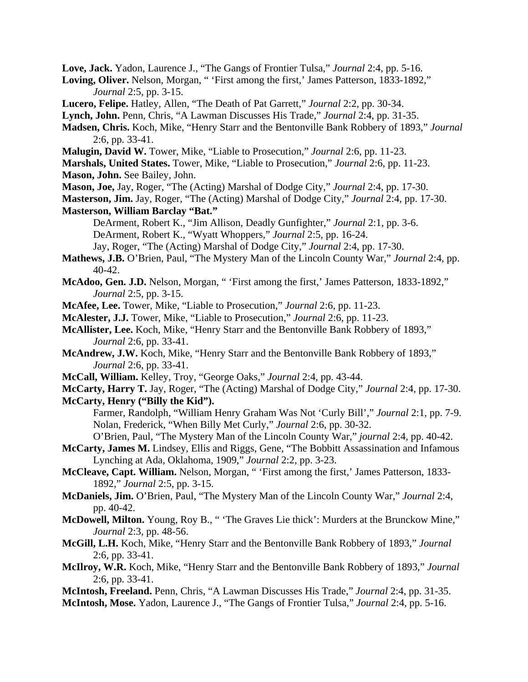**Love, Jack.** Yadon, Laurence J., "The Gangs of Frontier Tulsa," *Journal* 2:4, pp. 5-16.

- **Loving, Oliver.** Nelson, Morgan, " 'First among the first,' James Patterson, 1833-1892," *Journal* 2:5, pp. 3-15.
- **Lucero, Felipe.** Hatley, Allen, "The Death of Pat Garrett," *Journal* 2:2, pp. 30-34.
- **Lynch, John.** Penn, Chris, "A Lawman Discusses His Trade," *Journal* 2:4, pp. 31-35.
- **Madsen, Chris.** Koch, Mike, "Henry Starr and the Bentonville Bank Robbery of 1893," *Journal* 2:6, pp. 33-41.
- **Malugin, David W.** Tower, Mike, "Liable to Prosecution," *Journal* 2:6, pp. 11-23.
- **Marshals, United States.** Tower, Mike, "Liable to Prosecution," *Journal* 2:6, pp. 11-23. **Mason, John.** See Bailey, John.
- **Mason, Joe,** Jay, Roger, "The (Acting) Marshal of Dodge City," *Journal* 2:4, pp. 17-30.
- **Masterson, Jim.** Jay, Roger, "The (Acting) Marshal of Dodge City," *Journal* 2:4, pp. 17-30.
- **Masterson, William Barclay "Bat."** 
	- DeArment, Robert K., "Jim Allison, Deadly Gunfighter," *Journal* 2:1, pp. 3-6. DeArment, Robert K., "Wyatt Whoppers," *Journal* 2:5, pp. 16-24.
	- Jay, Roger, "The (Acting) Marshal of Dodge City," *Journal* 2:4, pp. 17-30.
- **Mathews, J.B.** O'Brien, Paul, "The Mystery Man of the Lincoln County War," *Journal* 2:4, pp. 40-42.
- **McAdoo, Gen. J.D.** Nelson, Morgan, " 'First among the first,' James Patterson, 1833-1892," *Journal* 2:5, pp. 3-15.
- **McAfee, Lee.** Tower, Mike, "Liable to Prosecution," *Journal* 2:6, pp. 11-23.
- **McAlester, J.J.** Tower, Mike, "Liable to Prosecution," *Journal* 2:6, pp. 11-23.
- **McAllister, Lee.** Koch, Mike, "Henry Starr and the Bentonville Bank Robbery of 1893," *Journal* 2:6, pp. 33-41.
- **McAndrew, J.W.** Koch, Mike, "Henry Starr and the Bentonville Bank Robbery of 1893," *Journal* 2:6, pp. 33-41.
- **McCall, William.** Kelley, Troy, "George Oaks," *Journal* 2:4, pp. 43-44.
- **McCarty, Harry T.** Jay, Roger, "The (Acting) Marshal of Dodge City," *Journal* 2:4, pp. 17-30. **McCarty, Henry ("Billy the Kid").**
	- Farmer, Randolph, "William Henry Graham Was Not 'Curly Bill'," *Journal* 2:1, pp. 7-9. Nolan, Frederick, "When Billy Met Curly," *Journal* 2:6, pp. 30-32.
	- O'Brien, Paul, "The Mystery Man of the Lincoln County War," *journal* 2:4, pp. 40-42.
- **McCarty, James M.** Lindsey, Ellis and Riggs, Gene, "The Bobbitt Assassination and Infamous Lynching at Ada, Oklahoma, 1909," *Journal* 2:2, pp. 3-23.
- **McCleave, Capt. William.** Nelson, Morgan, " 'First among the first,' James Patterson, 1833- 1892," *Journal* 2:5, pp. 3-15.
- **McDaniels, Jim.** O'Brien, Paul, "The Mystery Man of the Lincoln County War," *Journal* 2:4, pp. 40-42.
- **McDowell, Milton.** Young, Roy B., " 'The Graves Lie thick': Murders at the Brunckow Mine," *Journal* 2:3, pp. 48-56.
- **McGill, L.H.** Koch, Mike, "Henry Starr and the Bentonville Bank Robbery of 1893," *Journal* 2:6, pp. 33-41.
- **McIlroy, W.R.** Koch, Mike, "Henry Starr and the Bentonville Bank Robbery of 1893," *Journal* 2:6, pp. 33-41.
- **McIntosh, Freeland.** Penn, Chris, "A Lawman Discusses His Trade," *Journal* 2:4, pp. 31-35.
- **McIntosh, Mose.** Yadon, Laurence J., "The Gangs of Frontier Tulsa," *Journal* 2:4, pp. 5-16.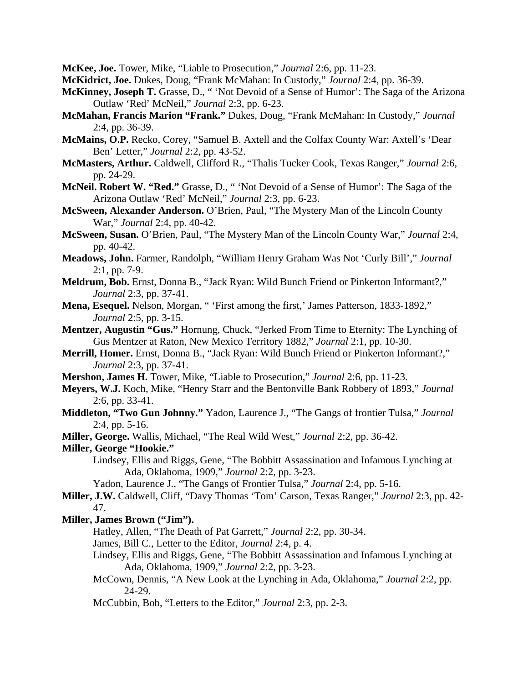**McKee, Joe.** Tower, Mike, "Liable to Prosecution," *Journal* 2:6, pp. 11-23.

**McKidrict, Joe.** Dukes, Doug, "Frank McMahan: In Custody," *Journal* 2:4, pp. 36-39.

- **McKinney, Joseph T.** Grasse, D., " 'Not Devoid of a Sense of Humor': The Saga of the Arizona Outlaw 'Red' McNeil," *Journal* 2:3, pp. 6-23.
- **McMahan, Francis Marion "Frank."** Dukes, Doug, "Frank McMahan: In Custody," *Journal* 2:4, pp. 36-39.
- **McMains, O.P.** Recko, Corey, "Samuel B. Axtell and the Colfax County War: Axtell's 'Dear Ben' Letter," *Journal* 2:2, pp. 43-52.
- **McMasters, Arthur.** Caldwell, Clifford R., "Thalis Tucker Cook, Texas Ranger," *Journal* 2:6, pp. 24-29.
- **McNeil. Robert W. "Red."** Grasse, D., " 'Not Devoid of a Sense of Humor': The Saga of the Arizona Outlaw 'Red' McNeil," *Journal* 2:3, pp. 6-23.
- **McSween, Alexander Anderson.** O'Brien, Paul, "The Mystery Man of the Lincoln County War," *Journal* 2:4, pp. 40-42.
- **McSween, Susan.** O'Brien, Paul, "The Mystery Man of the Lincoln County War," *Journal* 2:4, pp. 40-42.
- **Meadows, John.** Farmer, Randolph, "William Henry Graham Was Not 'Curly Bill'," *Journal* 2:1, pp. 7-9.
- **Meldrum, Bob.** Ernst, Donna B., "Jack Ryan: Wild Bunch Friend or Pinkerton Informant?," *Journal* 2:3, pp. 37-41.
- **Mena, Esequel.** Nelson, Morgan, " 'First among the first,' James Patterson, 1833-1892," *Journal* 2:5, pp. 3-15.
- **Mentzer, Augustin "Gus."** Hornung, Chuck, "Jerked From Time to Eternity: The Lynching of Gus Mentzer at Raton, New Mexico Territory 1882," *Journal* 2:1, pp. 10-30.
- **Merrill, Homer.** Ernst, Donna B., "Jack Ryan: Wild Bunch Friend or Pinkerton Informant?," *Journal* 2:3, pp. 37-41.
- **Mershon, James H.** Tower, Mike, "Liable to Prosecution," *Journal* 2:6, pp. 11-23.
- **Meyers, W.J.** Koch, Mike, "Henry Starr and the Bentonville Bank Robbery of 1893," *Journal* 2:6, pp. 33-41.
- **Middleton, "Two Gun Johnny."** Yadon, Laurence J., "The Gangs of frontier Tulsa," *Journal* 2:4, pp. 5-16.
- **Miller, George.** Wallis, Michael, "The Real Wild West," *Journal* 2:2, pp. 36-42.

# **Miller, George "Hookie."**

- Lindsey, Ellis and Riggs, Gene, "The Bobbitt Assassination and Infamous Lynching at Ada, Oklahoma, 1909," *Journal* 2:2, pp. 3-23.
- Yadon, Laurence J., "The Gangs of Frontier Tulsa," *Journal* 2:4, pp. 5-16.
- **Miller, J.W.** Caldwell, Cliff, "Davy Thomas 'Tom' Carson, Texas Ranger," *Journal* 2:3, pp. 42- 47.

## **Miller, James Brown ("Jim").**

- Hatley, Allen, "The Death of Pat Garrett," *Journal* 2:2, pp. 30-34.
- James, Bill C., Letter to the Editor, *Journal* 2:4, p. 4.
- Lindsey, Ellis and Riggs, Gene, "The Bobbitt Assassination and Infamous Lynching at Ada, Oklahoma, 1909," *Journal* 2:2, pp. 3-23.
- McCown, Dennis, "A New Look at the Lynching in Ada, Oklahoma," *Journal* 2:2, pp. 24-29.
- McCubbin, Bob, "Letters to the Editor," *Journal* 2:3, pp. 2-3.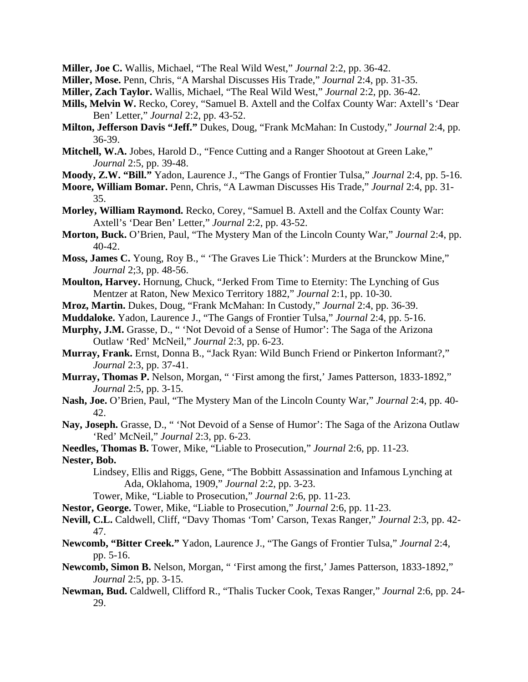**Miller, Joe C.** Wallis, Michael, "The Real Wild West," *Journal* 2:2, pp. 36-42.

- **Miller, Mose.** Penn, Chris, "A Marshal Discusses His Trade," *Journal* 2:4, pp. 31-35.
- **Miller, Zach Taylor.** Wallis, Michael, "The Real Wild West," *Journal* 2:2, pp. 36-42.
- **Mills, Melvin W.** Recko, Corey, "Samuel B. Axtell and the Colfax County War: Axtell's 'Dear Ben' Letter," *Journal* 2:2, pp. 43-52.
- **Milton, Jefferson Davis "Jeff."** Dukes, Doug, "Frank McMahan: In Custody," *Journal* 2:4, pp. 36-39.
- **Mitchell, W.A.** Jobes, Harold D., "Fence Cutting and a Ranger Shootout at Green Lake," *Journal* 2:5, pp. 39-48.
- **Moody, Z.W. "Bill."** Yadon, Laurence J., "The Gangs of Frontier Tulsa," *Journal* 2:4, pp. 5-16.
- **Moore, William Bomar.** Penn, Chris, "A Lawman Discusses His Trade," *Journal* 2:4, pp. 31- 35.
- **Morley, William Raymond.** Recko, Corey, "Samuel B. Axtell and the Colfax County War: Axtell's 'Dear Ben' Letter," *Journal* 2:2, pp. 43-52.
- **Morton, Buck.** O'Brien, Paul, "The Mystery Man of the Lincoln County War," *Journal* 2:4, pp. 40-42.
- **Moss, James C.** Young, Roy B., " 'The Graves Lie Thick': Murders at the Brunckow Mine," *Journal* 2;3, pp. 48-56.
- **Moulton, Harvey.** Hornung, Chuck, "Jerked From Time to Eternity: The Lynching of Gus Mentzer at Raton, New Mexico Territory 1882," *Journal* 2:1, pp. 10-30.
- **Mroz, Martin.** Dukes, Doug, "Frank McMahan: In Custody," *Journal* 2:4, pp. 36-39.
- **Muddaloke.** Yadon, Laurence J., "The Gangs of Frontier Tulsa," *Journal* 2:4, pp. 5-16.
- **Murphy, J.M.** Grasse, D., " 'Not Devoid of a Sense of Humor': The Saga of the Arizona Outlaw 'Red' McNeil," *Journal* 2:3, pp. 6-23.
- **Murray, Frank.** Ernst, Donna B., "Jack Ryan: Wild Bunch Friend or Pinkerton Informant?," *Journal* 2:3, pp. 37-41.
- **Murray, Thomas P.** Nelson, Morgan, " 'First among the first,' James Patterson, 1833-1892," *Journal* 2:5, pp. 3-15.
- **Nash, Joe.** O'Brien, Paul, "The Mystery Man of the Lincoln County War," *Journal* 2:4, pp. 40- 42.
- **Nay, Joseph.** Grasse, D., " 'Not Devoid of a Sense of Humor': The Saga of the Arizona Outlaw 'Red' McNeil," *Journal* 2:3, pp. 6-23.
- **Needles, Thomas B.** Tower, Mike, "Liable to Prosecution," *Journal* 2:6, pp. 11-23. **Nester, Bob.**
	- Lindsey, Ellis and Riggs, Gene, "The Bobbitt Assassination and Infamous Lynching at Ada, Oklahoma, 1909," *Journal* 2:2, pp. 3-23.
	- Tower, Mike, "Liable to Prosecution," *Journal* 2:6, pp. 11-23.
- **Nestor, George.** Tower, Mike, "Liable to Prosecution," *Journal* 2:6, pp. 11-23.
- **Nevill, C.L.** Caldwell, Cliff, "Davy Thomas 'Tom' Carson, Texas Ranger," *Journal* 2:3, pp. 42- 47.
- **Newcomb, "Bitter Creek."** Yadon, Laurence J., "The Gangs of Frontier Tulsa," *Journal* 2:4, pp. 5-16.
- **Newcomb, Simon B.** Nelson, Morgan, " 'First among the first,' James Patterson, 1833-1892," *Journal* 2:5, pp. 3-15.
- **Newman, Bud.** Caldwell, Clifford R., "Thalis Tucker Cook, Texas Ranger," *Journal* 2:6, pp. 24- 29.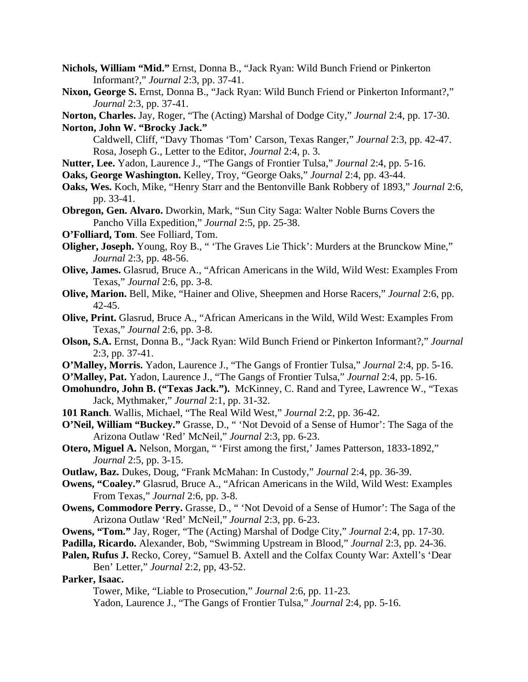- **Nichols, William "Mid."** Ernst, Donna B., "Jack Ryan: Wild Bunch Friend or Pinkerton Informant?," *Journal* 2:3, pp. 37-41.
- **Nixon, George S.** Ernst, Donna B., "Jack Ryan: Wild Bunch Friend or Pinkerton Informant?," *Journal* 2:3, pp. 37-41.

**Norton, Charles.** Jay, Roger, "The (Acting) Marshal of Dodge City," *Journal* 2:4, pp. 17-30. **Norton, John W. "Brocky Jack."**

 Caldwell, Cliff, "Davy Thomas 'Tom' Carson, Texas Ranger," *Journal* 2:3, pp. 42-47. Rosa, Joseph G., Letter to the Editor, *Journal* 2:4, p. 3.

- **Nutter, Lee.** Yadon, Laurence J., "The Gangs of Frontier Tulsa," *Journal* 2:4, pp. 5-16.
- **Oaks, George Washington.** Kelley, Troy, "George Oaks," *Journal* 2:4, pp. 43-44.
- **Oaks, Wes.** Koch, Mike, "Henry Starr and the Bentonville Bank Robbery of 1893," *Journal* 2:6, pp. 33-41.
- **Obregon, Gen. Alvaro.** Dworkin, Mark, "Sun City Saga: Walter Noble Burns Covers the Pancho Villa Expedition," *Journal* 2:5, pp. 25-38.
- **O'Folliard, Tom**. See Folliard, Tom.
- **Oligher, Joseph.** Young, Roy B., " 'The Graves Lie Thick': Murders at the Brunckow Mine," *Journal* 2:3, pp. 48-56.
- **Olive, James.** Glasrud, Bruce A., "African Americans in the Wild, Wild West: Examples From Texas," *Journal* 2:6, pp. 3-8.
- **Olive, Marion.** Bell, Mike, "Hainer and Olive, Sheepmen and Horse Racers," *Journal* 2:6, pp. 42-45.
- **Olive, Print.** Glasrud, Bruce A., "African Americans in the Wild, Wild West: Examples From Texas," *Journal* 2:6, pp. 3-8.
- **Olson, S.A.** Ernst, Donna B., "Jack Ryan: Wild Bunch Friend or Pinkerton Informant?," *Journal* 2:3, pp. 37-41.
- **O'Malley, Morris.** Yadon, Laurence J., "The Gangs of Frontier Tulsa," *Journal* 2:4, pp. 5-16.
- **O'Malley, Pat.** Yadon, Laurence J., "The Gangs of Frontier Tulsa," *Journal* 2:4, pp. 5-16.
- **Omohundro, John B. ("Texas Jack.").** McKinney, C. Rand and Tyree, Lawrence W., "Texas Jack, Mythmaker," *Journal* 2:1, pp. 31-32.
- **101 Ranch**. Wallis, Michael, "The Real Wild West," *Journal* 2:2, pp. 36-42.
- **O'Neil, William "Buckey."** Grasse, D., " 'Not Devoid of a Sense of Humor': The Saga of the Arizona Outlaw 'Red' McNeil," *Journal* 2:3, pp. 6-23.
- **Otero, Miguel A.** Nelson, Morgan, " 'First among the first,' James Patterson, 1833-1892," *Journal* 2:5, pp. 3-15.
- **Outlaw, Baz.** Dukes, Doug, "Frank McMahan: In Custody," *Journal* 2:4, pp. 36-39.
- **Owens, "Coaley."** Glasrud, Bruce A., "African Americans in the Wild, Wild West: Examples From Texas," *Journal* 2:6, pp. 3-8.
- **Owens, Commodore Perry.** Grasse, D., " 'Not Devoid of a Sense of Humor': The Saga of the Arizona Outlaw 'Red' McNeil," *Journal* 2:3, pp. 6-23.
- **Owens, "Tom."** Jay, Roger, "The (Acting) Marshal of Dodge City," *Journal* 2:4, pp. 17-30.
- **Padilla, Ricardo.** Alexander, Bob, "Swimming Upstream in Blood," *Journal* 2:3, pp. 24-36.
- **Palen, Rufus J.** Recko, Corey, "Samuel B. Axtell and the Colfax County War: Axtell's 'Dear Ben' Letter," *Journal* 2:2, pp, 43-52.

### **Parker, Isaac.**

Tower, Mike, "Liable to Prosecution," *Journal* 2:6, pp. 11-23.

Yadon, Laurence J., "The Gangs of Frontier Tulsa," *Journal* 2:4, pp. 5-16.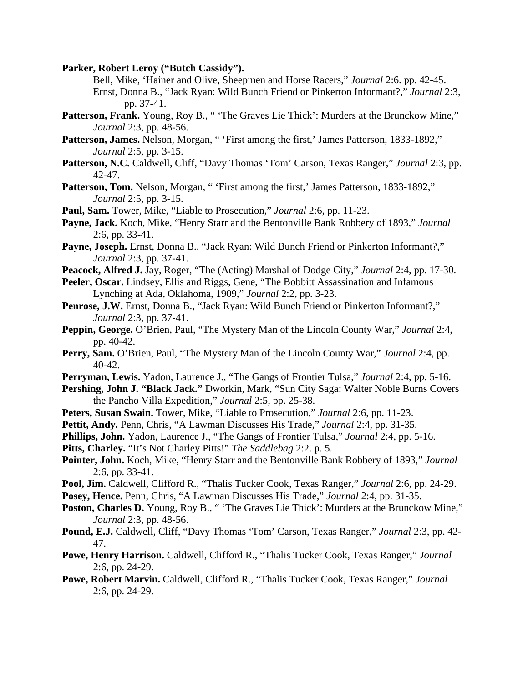**Parker, Robert Leroy ("Butch Cassidy").** 

 Bell, Mike, 'Hainer and Olive, Sheepmen and Horse Racers," *Journal* 2:6. pp. 42-45. Ernst, Donna B., "Jack Ryan: Wild Bunch Friend or Pinkerton Informant?," *Journal* 2:3, pp. 37-41.

- Patterson, Frank. Young, Roy B., " 'The Graves Lie Thick': Murders at the Brunckow Mine," *Journal* 2:3, pp. 48-56.
- Patterson, James. Nelson, Morgan, " 'First among the first,' James Patterson, 1833-1892," *Journal* 2:5, pp. 3-15.
- **Patterson, N.C.** Caldwell, Cliff, "Davy Thomas 'Tom' Carson, Texas Ranger," *Journal* 2:3, pp. 42-47.
- Patterson, Tom. Nelson, Morgan, " 'First among the first,' James Patterson, 1833-1892," *Journal* 2:5, pp. 3-15.
- **Paul, Sam.** Tower, Mike, "Liable to Prosecution," *Journal* 2:6, pp. 11-23.
- **Payne, Jack.** Koch, Mike, "Henry Starr and the Bentonville Bank Robbery of 1893," *Journal* 2:6, pp. 33-41.
- **Payne, Joseph.** Ernst, Donna B., "Jack Ryan: Wild Bunch Friend or Pinkerton Informant?," *Journal* 2:3, pp. 37-41.
- **Peacock, Alfred J.** Jay, Roger, "The (Acting) Marshal of Dodge City," *Journal* 2:4, pp. 17-30.
- Peeler, Oscar. Lindsey, Ellis and Riggs, Gene, "The Bobbitt Assassination and Infamous Lynching at Ada, Oklahoma, 1909," *Journal* 2:2, pp. 3-23.
- **Penrose, J.W.** Ernst, Donna B., "Jack Ryan: Wild Bunch Friend or Pinkerton Informant?," *Journal* 2:3, pp. 37-41.
- **Peppin, George.** O'Brien, Paul, "The Mystery Man of the Lincoln County War," *Journal* 2:4, pp. 40-42.
- **Perry, Sam.** O'Brien, Paul, "The Mystery Man of the Lincoln County War," *Journal* 2:4, pp. 40-42.
- **Perryman, Lewis.** Yadon, Laurence J., "The Gangs of Frontier Tulsa," *Journal* 2:4, pp. 5-16.
- **Pershing, John J. "Black Jack."** Dworkin, Mark, "Sun City Saga: Walter Noble Burns Covers the Pancho Villa Expedition," *Journal* 2:5, pp. 25-38.
- **Peters, Susan Swain.** Tower, Mike, "Liable to Prosecution," *Journal* 2:6, pp. 11-23.
- **Pettit, Andy.** Penn, Chris, "A Lawman Discusses His Trade," *Journal* 2:4, pp. 31-35.
- **Phillips, John.** Yadon, Laurence J., "The Gangs of Frontier Tulsa," *Journal* 2:4, pp. 5-16.
- **Pitts, Charley.** "It's Not Charley Pitts!" *The Saddlebag* 2:2. p. 5.
- **Pointer, John.** Koch, Mike, "Henry Starr and the Bentonville Bank Robbery of 1893," *Journal* 2:6, pp. 33-41.
- **Pool, Jim.** Caldwell, Clifford R., "Thalis Tucker Cook, Texas Ranger," *Journal* 2:6, pp. 24-29.
- **Posey, Hence.** Penn, Chris, "A Lawman Discusses His Trade," *Journal* 2:4, pp. 31-35.
- **Poston, Charles D.** Young, Roy B., "The Graves Lie Thick': Murders at the Brunckow Mine," *Journal* 2:3, pp. 48-56.
- **Pound, E.J.** Caldwell, Cliff, "Davy Thomas 'Tom' Carson, Texas Ranger," *Journal* 2:3, pp. 42- 47.
- **Powe, Henry Harrison.** Caldwell, Clifford R., "Thalis Tucker Cook, Texas Ranger," *Journal* 2:6, pp. 24-29.
- **Powe, Robert Marvin.** Caldwell, Clifford R., "Thalis Tucker Cook, Texas Ranger," *Journal* 2:6, pp. 24-29.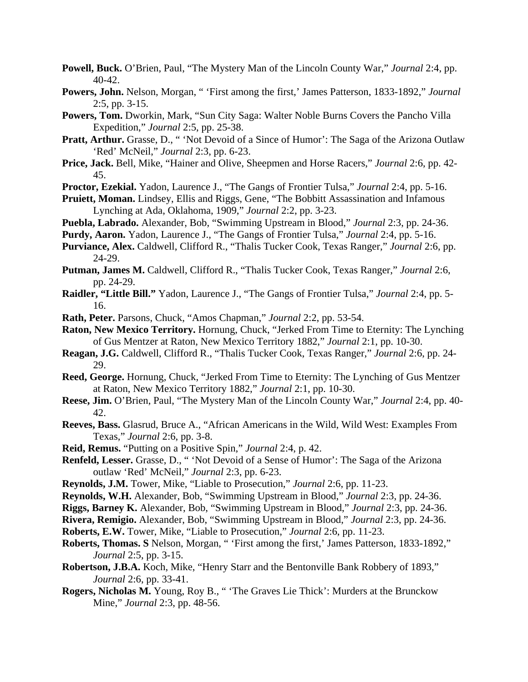- **Powell, Buck.** O'Brien, Paul, "The Mystery Man of the Lincoln County War," *Journal* 2:4, pp. 40-42.
- **Powers, John.** Nelson, Morgan, " 'First among the first,' James Patterson, 1833-1892," *Journal* 2:5, pp. 3-15.
- **Powers, Tom.** Dworkin, Mark, "Sun City Saga: Walter Noble Burns Covers the Pancho Villa Expedition," *Journal* 2:5, pp. 25-38.
- **Pratt, Arthur.** Grasse, D., " 'Not Devoid of a Since of Humor': The Saga of the Arizona Outlaw 'Red' McNeil," *Journal* 2:3, pp. 6-23.
- **Price, Jack.** Bell, Mike, "Hainer and Olive, Sheepmen and Horse Racers," *Journal* 2:6, pp. 42- 45.
- **Proctor, Ezekial.** Yadon, Laurence J., "The Gangs of Frontier Tulsa," *Journal* 2:4, pp. 5-16.
- **Pruiett, Moman.** Lindsey, Ellis and Riggs, Gene, "The Bobbitt Assassination and Infamous Lynching at Ada, Oklahoma, 1909," *Journal* 2:2, pp. 3-23.
- **Puebla, Labrado.** Alexander, Bob, "Swimming Upstream in Blood," *Journal* 2:3, pp. 24-36.
- **Purdy, Aaron.** Yadon, Laurence J., "The Gangs of Frontier Tulsa," *Journal* 2:4, pp. 5-16.
- **Purviance, Alex.** Caldwell, Clifford R., "Thalis Tucker Cook, Texas Ranger," *Journal* 2:6, pp. 24-29.
- **Putman, James M.** Caldwell, Clifford R., "Thalis Tucker Cook, Texas Ranger," *Journal* 2:6, pp. 24-29.
- **Raidler, "Little Bill."** Yadon, Laurence J., "The Gangs of Frontier Tulsa," *Journal* 2:4, pp. 5- 16.
- **Rath, Peter.** Parsons, Chuck, "Amos Chapman," *Journal* 2:2, pp. 53-54.
- **Raton, New Mexico Territory.** Hornung, Chuck, "Jerked From Time to Eternity: The Lynching of Gus Mentzer at Raton, New Mexico Territory 1882," *Journal* 2:1, pp. 10-30.
- **Reagan, J.G.** Caldwell, Clifford R., "Thalis Tucker Cook, Texas Ranger," *Journal* 2:6, pp. 24- 29.
- **Reed, George.** Hornung, Chuck, "Jerked From Time to Eternity: The Lynching of Gus Mentzer at Raton, New Mexico Territory 1882," *Journal* 2:1, pp. 10-30.
- **Reese, Jim.** O'Brien, Paul, "The Mystery Man of the Lincoln County War," *Journal* 2:4, pp. 40- 42.
- **Reeves, Bass.** Glasrud, Bruce A., "African Americans in the Wild, Wild West: Examples From Texas," *Journal* 2:6, pp. 3-8.
- **Reid, Remus.** "Putting on a Positive Spin," *Journal* 2:4, p. 42.
- **Renfeld, Lesser.** Grasse, D., " 'Not Devoid of a Sense of Humor': The Saga of the Arizona outlaw 'Red' McNeil," *Journal* 2:3, pp. 6-23.
- **Reynolds, J.M.** Tower, Mike, "Liable to Prosecution," *Journal* 2:6, pp. 11-23.
- **Reynolds, W.H.** Alexander, Bob, "Swimming Upstream in Blood," *Journal* 2:3, pp. 24-36.

**Riggs, Barney K.** Alexander, Bob, "Swimming Upstream in Blood," *Journal* 2:3, pp. 24-36.

**Rivera, Remigio.** Alexander, Bob, "Swimming Upstream in Blood," *Journal* 2:3, pp. 24-36.

- **Roberts, E.W.** Tower, Mike, "Liable to Prosecution," *Journal* 2:6, pp. 11-23.
- **Roberts, Thomas. S** Nelson, Morgan, " 'First among the first,' James Patterson, 1833-1892," *Journal* 2:5, pp. 3-15.
- **Robertson, J.B.A.** Koch, Mike, "Henry Starr and the Bentonville Bank Robbery of 1893," *Journal* 2:6, pp. 33-41.
- **Rogers, Nicholas M.** Young, Roy B., " 'The Graves Lie Thick': Murders at the Brunckow Mine," *Journal* 2:3, pp. 48-56.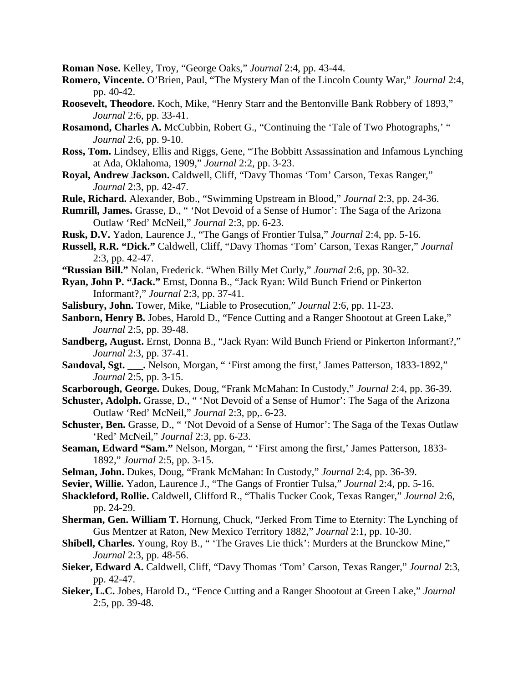**Roman Nose.** Kelley, Troy, "George Oaks," *Journal* 2:4, pp. 43-44.

- **Romero, Vincente.** O'Brien, Paul, "The Mystery Man of the Lincoln County War," *Journal* 2:4, pp. 40-42.
- **Roosevelt, Theodore.** Koch, Mike, "Henry Starr and the Bentonville Bank Robbery of 1893," *Journal* 2:6, pp. 33-41.
- **Rosamond, Charles A.** McCubbin, Robert G., "Continuing the 'Tale of Two Photographs,' " *Journal* 2:6, pp. 9-10.
- **Ross, Tom.** Lindsey, Ellis and Riggs, Gene, "The Bobbitt Assassination and Infamous Lynching at Ada, Oklahoma, 1909," *Journal* 2:2, pp. 3-23.
- **Royal, Andrew Jackson.** Caldwell, Cliff, "Davy Thomas 'Tom' Carson, Texas Ranger," *Journal* 2:3, pp. 42-47.
- **Rule, Richard.** Alexander, Bob., "Swimming Upstream in Blood," *Journal* 2:3, pp. 24-36.
- **Rumrill, James.** Grasse, D., " 'Not Devoid of a Sense of Humor': The Saga of the Arizona Outlaw 'Red' McNeil," *Journal* 2:3, pp. 6-23.
- **Rusk, D.V.** Yadon, Laurence J., "The Gangs of Frontier Tulsa," *Journal* 2:4, pp. 5-16.
- **Russell, R.R. "Dick."** Caldwell, Cliff, "Davy Thomas 'Tom' Carson, Texas Ranger," *Journal* 2:3, pp. 42-47.
- **"Russian Bill."** Nolan, Frederick. "When Billy Met Curly," *Journal* 2:6, pp. 30-32.
- **Ryan, John P. "Jack."** Ernst, Donna B., "Jack Ryan: Wild Bunch Friend or Pinkerton Informant?," *Journal* 2:3, pp. 37-41.
- **Salisbury, John.** Tower, Mike, "Liable to Prosecution," *Journal* 2:6, pp. 11-23.
- **Sanborn, Henry B.** Jobes, Harold D., "Fence Cutting and a Ranger Shootout at Green Lake," *Journal* 2:5, pp. 39-48.
- **Sandberg, August.** Ernst, Donna B., "Jack Ryan: Wild Bunch Friend or Pinkerton Informant?," *Journal* 2:3, pp. 37-41.
- **Sandoval, Sgt. \_\_\_.** Nelson, Morgan, " 'First among the first,' James Patterson, 1833-1892," *Journal* 2:5, pp. 3-15.
- **Scarborough, George.** Dukes, Doug, "Frank McMahan: In Custody," *Journal* 2:4, pp. 36-39.
- Schuster, Adolph. Grasse, D., "Yot Devoid of a Sense of Humor': The Saga of the Arizona Outlaw 'Red' McNeil," *Journal* 2:3, pp,. 6-23.
- **Schuster, Ben.** Grasse, D., " 'Not Devoid of a Sense of Humor': The Saga of the Texas Outlaw 'Red' McNeil," *Journal* 2:3, pp. 6-23.
- **Seaman, Edward "Sam."** Nelson, Morgan, " 'First among the first,' James Patterson, 1833- 1892," *Journal* 2:5, pp. 3-15.
- **Selman, John.** Dukes, Doug, "Frank McMahan: In Custody," *Journal* 2:4, pp. 36-39.
- **Sevier, Willie.** Yadon, Laurence J., "The Gangs of Frontier Tulsa," *Journal* 2:4, pp. 5-16.
- **Shackleford, Rollie.** Caldwell, Clifford R., "Thalis Tucker Cook, Texas Ranger," *Journal* 2:6, pp. 24-29.
- **Sherman, Gen. William T.** Hornung, Chuck, "Jerked From Time to Eternity: The Lynching of Gus Mentzer at Raton, New Mexico Territory 1882," *Journal* 2:1, pp. 10-30.
- **Shibell, Charles.** Young, Roy B., " 'The Graves Lie thick': Murders at the Brunckow Mine," *Journal* 2:3, pp. 48-56.
- **Sieker, Edward A.** Caldwell, Cliff, "Davy Thomas 'Tom' Carson, Texas Ranger," *Journal* 2:3, pp. 42-47.
- **Sieker, L.C.** Jobes, Harold D., "Fence Cutting and a Ranger Shootout at Green Lake," *Journal* 2:5, pp. 39-48.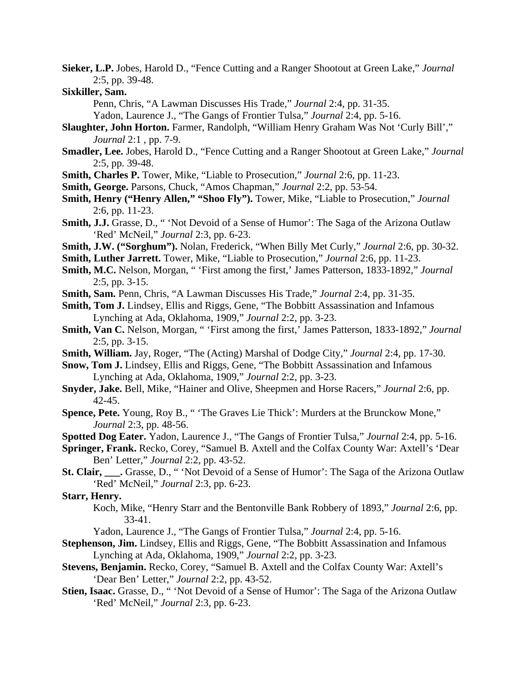- **Sieker, L.P.** Jobes, Harold D., "Fence Cutting and a Ranger Shootout at Green Lake," *Journal* 2:5, pp. 39-48.
- **Sixkiller, Sam.**

Penn, Chris, "A Lawman Discusses His Trade," *Journal* 2:4, pp. 31-35.

Yadon, Laurence J., "The Gangs of Frontier Tulsa," *Journal* 2:4, pp. 5-16.

- **Slaughter, John Horton.** Farmer, Randolph, "William Henry Graham Was Not 'Curly Bill'," *Journal* 2:1 , pp. 7-9.
- **Smadler, Lee.** Jobes, Harold D., "Fence Cutting and a Ranger Shootout at Green Lake," *Journal* 2:5, pp. 39-48.
- **Smith, Charles P.** Tower, Mike, "Liable to Prosecution," *Journal* 2:6, pp. 11-23.
- **Smith, George.** Parsons, Chuck, "Amos Chapman," *Journal* 2:2, pp. 53-54.
- **Smith, Henry ("Henry Allen," "Shoo Fly").** Tower, Mike, "Liable to Prosecution," *Journal* 2:6, pp. 11-23.
- **Smith, J.J.** Grasse, D., " 'Not Devoid of a Sense of Humor': The Saga of the Arizona Outlaw 'Red' McNeil," *Journal* 2:3, pp. 6-23.
- **Smith, J.W. ("Sorghum").** Nolan, Frederick, "When Billy Met Curly," *Journal* 2:6, pp. 30-32.
- **Smith, Luther Jarrett.** Tower, Mike, "Liable to Prosecution," *Journal* 2:6, pp. 11-23.
- **Smith, M.C.** Nelson, Morgan, " 'First among the first,' James Patterson, 1833-1892," *Journal* 2:5, pp. 3-15.
- **Smith, Sam.** Penn, Chris, "A Lawman Discusses His Trade," *Journal* 2:4, pp. 31-35.
- **Smith, Tom J.** Lindsey, Ellis and Riggs, Gene, "The Bobbitt Assassination and Infamous Lynching at Ada, Oklahoma, 1909," *Journal* 2:2, pp. 3-23.
- **Smith, Van C.** Nelson, Morgan, " 'First among the first,' James Patterson, 1833-1892," *Journal* 2:5, pp. 3-15.
- **Smith, William.** Jay, Roger, "The (Acting) Marshal of Dodge City," *Journal* 2:4, pp. 17-30.
- **Snow, Tom J.** Lindsey, Ellis and Riggs, Gene, "The Bobbitt Assassination and Infamous Lynching at Ada, Oklahoma, 1909," *Journal* 2:2, pp. 3-23.
- **Snyder, Jake.** Bell, Mike, "Hainer and Olive, Sheepmen and Horse Racers," *Journal* 2:6, pp. 42-45.
- **Spence, Pete.** Young, Roy B., " 'The Graves Lie Thick': Murders at the Brunckow Mone," *Journal* 2:3, pp. 48-56.
- **Spotted Dog Eater.** Yadon, Laurence J., "The Gangs of Frontier Tulsa," *Journal* 2:4, pp. 5-16.
- **Springer, Frank.** Recko, Corey, "Samuel B. Axtell and the Colfax County War: Axtell's 'Dear Ben' Letter," *Journal* 2:2, pp. 43-52.
- **St. Clair, \_\_\_.** Grasse, D., " 'Not Devoid of a Sense of Humor': The Saga of the Arizona Outlaw 'Red' McNeil," *Journal* 2:3, pp. 6-23.

**Starr, Henry.**

- Koch, Mike, "Henry Starr and the Bentonville Bank Robbery of 1893," *Journal* 2:6, pp. 33-41.
	- Yadon, Laurence J., "The Gangs of Frontier Tulsa," *Journal* 2:4, pp. 5-16.
- **Stephenson, Jim.** Lindsey, Ellis and Riggs, Gene, "The Bobbitt Assassination and Infamous Lynching at Ada, Oklahoma, 1909," *Journal* 2:2, pp. 3-23.
- **Stevens, Benjamin.** Recko, Corey, "Samuel B. Axtell and the Colfax County War: Axtell's 'Dear Ben' Letter," *Journal* 2:2, pp. 43-52.
- **Stien, Isaac.** Grasse, D., " 'Not Devoid of a Sense of Humor': The Saga of the Arizona Outlaw 'Red' McNeil," *Journal* 2:3, pp. 6-23.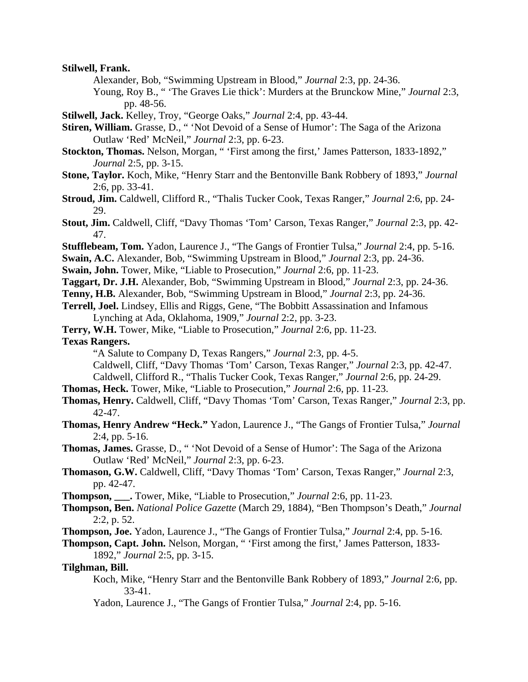**Stilwell, Frank.**

Alexander, Bob, "Swimming Upstream in Blood," *Journal* 2:3, pp. 24-36.

 Young, Roy B., " 'The Graves Lie thick': Murders at the Brunckow Mine," *Journal* 2:3, pp. 48-56.

- **Stilwell, Jack.** Kelley, Troy, "George Oaks," *Journal* 2:4, pp. 43-44.
- **Stiren, William.** Grasse, D., " 'Not Devoid of a Sense of Humor': The Saga of the Arizona Outlaw 'Red' McNeil," *Journal* 2:3, pp. 6-23.
- **Stockton, Thomas.** Nelson, Morgan, " 'First among the first,' James Patterson, 1833-1892," *Journal* 2:5, pp. 3-15.
- **Stone, Taylor.** Koch, Mike, "Henry Starr and the Bentonville Bank Robbery of 1893," *Journal* 2:6, pp. 33-41.
- **Stroud, Jim.** Caldwell, Clifford R., "Thalis Tucker Cook, Texas Ranger," *Journal* 2:6, pp. 24- 29.
- **Stout, Jim.** Caldwell, Cliff, "Davy Thomas 'Tom' Carson, Texas Ranger," *Journal* 2:3, pp. 42- 47.
- **Stufflebeam, Tom.** Yadon, Laurence J., "The Gangs of Frontier Tulsa," *Journal* 2:4, pp. 5-16.
- **Swain, A.C.** Alexander, Bob, "Swimming Upstream in Blood," *Journal* 2:3, pp. 24-36.
- **Swain, John.** Tower, Mike, "Liable to Prosecution," *Journal* 2:6, pp. 11-23.
- **Taggart, Dr. J.H.** Alexander, Bob, "Swimming Upstream in Blood," *Journal* 2:3, pp. 24-36.
- **Tenny, H.B.** Alexander, Bob, "Swimming Upstream in Blood," *Journal* 2:3, pp. 24-36.
- **Terrell, Joel.** Lindsey, Ellis and Riggs, Gene, "The Bobbitt Assassination and Infamous Lynching at Ada, Oklahoma, 1909," *Journal* 2:2, pp. 3-23.
- **Terry, W.H.** Tower, Mike, "Liable to Prosecution," *Journal* 2:6, pp. 11-23.

**Texas Rangers.**

"A Salute to Company D, Texas Rangers," *Journal* 2:3, pp. 4-5.

Caldwell, Cliff, "Davy Thomas 'Tom' Carson, Texas Ranger," *Journal* 2:3, pp. 42-47.

Caldwell, Clifford R., "Thalis Tucker Cook, Texas Ranger," *Journal* 2:6, pp. 24-29.

- **Thomas, Heck.** Tower, Mike, "Liable to Prosecution," *Journal* 2:6, pp. 11-23.
- **Thomas, Henry.** Caldwell, Cliff, "Davy Thomas 'Tom' Carson, Texas Ranger," *Journal* 2:3, pp. 42-47.
- **Thomas, Henry Andrew "Heck."** Yadon, Laurence J., "The Gangs of Frontier Tulsa," *Journal* 2:4, pp. 5-16.
- **Thomas, James.** Grasse, D., " 'Not Devoid of a Sense of Humor': The Saga of the Arizona Outlaw 'Red' McNeil," *Journal* 2:3, pp. 6-23.
- **Thomason, G.W.** Caldwell, Cliff, "Davy Thomas 'Tom' Carson, Texas Ranger," *Journal* 2:3, pp. 42-47.
- **Thompson, \_\_\_.** Tower, Mike, "Liable to Prosecution," *Journal* 2:6, pp. 11-23.
- **Thompson, Ben.** *National Police Gazette* (March 29, 1884), "Ben Thompson's Death," *Journal* 2:2, p. 52.
- **Thompson, Joe.** Yadon, Laurence J., "The Gangs of Frontier Tulsa," *Journal* 2:4, pp. 5-16.

**Thompson, Capt. John.** Nelson, Morgan, " 'First among the first,' James Patterson, 1833- 1892," *Journal* 2:5, pp. 3-15.

**Tilghman, Bill.**

 Koch, Mike, "Henry Starr and the Bentonville Bank Robbery of 1893," *Journal* 2:6, pp. 33-41.

Yadon, Laurence J., "The Gangs of Frontier Tulsa," *Journal* 2:4, pp. 5-16.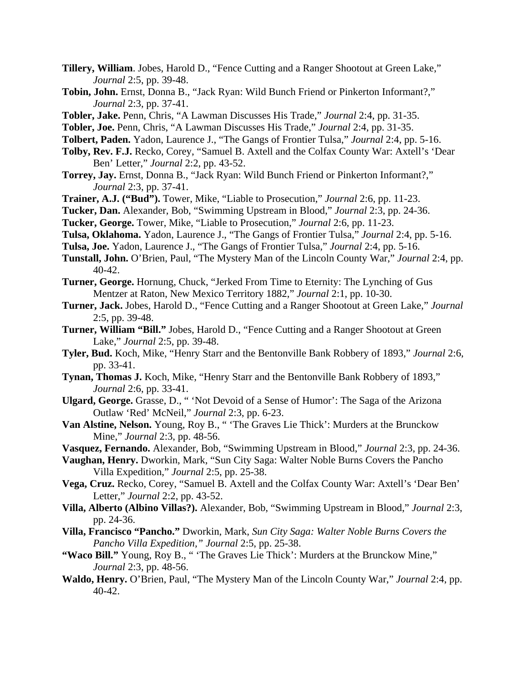- **Tillery, William**. Jobes, Harold D., "Fence Cutting and a Ranger Shootout at Green Lake," *Journal* 2:5, pp. 39-48.
- **Tobin, John.** Ernst, Donna B., "Jack Ryan: Wild Bunch Friend or Pinkerton Informant?," *Journal* 2:3, pp. 37-41.
- **Tobler, Jake.** Penn, Chris, "A Lawman Discusses His Trade," *Journal* 2:4, pp. 31-35.
- **Tobler, Joe.** Penn, Chris, "A Lawman Discusses His Trade," *Journal* 2:4, pp. 31-35.
- **Tolbert, Paden.** Yadon, Laurence J., "The Gangs of Frontier Tulsa," *Journal* 2:4, pp. 5-16.
- **Tolby, Rev. F.J.** Recko, Corey, "Samuel B. Axtell and the Colfax County War: Axtell's 'Dear Ben' Letter," *Journal* 2:2, pp. 43-52.
- **Torrey, Jay.** Ernst, Donna B., "Jack Ryan: Wild Bunch Friend or Pinkerton Informant?," *Journal* 2:3, pp. 37-41.
- **Trainer, A.J. ("Bud").** Tower, Mike, "Liable to Prosecution," *Journal* 2:6, pp. 11-23.
- **Tucker, Dan.** Alexander, Bob, "Swimming Upstream in Blood," *Journal* 2:3, pp. 24-36.
- **Tucker, George.** Tower, Mike, "Liable to Prosecution," *Journal* 2:6, pp. 11-23.
- **Tulsa, Oklahoma.** Yadon, Laurence J., "The Gangs of Frontier Tulsa," *Journal* 2:4, pp. 5-16.
- **Tulsa, Joe.** Yadon, Laurence J., "The Gangs of Frontier Tulsa," *Journal* 2:4, pp. 5-16.
- **Tunstall, John.** O'Brien, Paul, "The Mystery Man of the Lincoln County War," *Journal* 2:4, pp. 40-42.
- **Turner, George.** Hornung, Chuck, "Jerked From Time to Eternity: The Lynching of Gus Mentzer at Raton, New Mexico Territory 1882," *Journal* 2:1, pp. 10-30.
- **Turner, Jack.** Jobes, Harold D., "Fence Cutting and a Ranger Shootout at Green Lake," *Journal* 2:5, pp. 39-48.
- **Turner, William "Bill."** Jobes, Harold D., "Fence Cutting and a Ranger Shootout at Green Lake," *Journal* 2:5, pp. 39-48.
- **Tyler, Bud.** Koch, Mike, "Henry Starr and the Bentonville Bank Robbery of 1893," *Journal* 2:6, pp. 33-41.
- **Tynan, Thomas J.** Koch, Mike, "Henry Starr and the Bentonville Bank Robbery of 1893," *Journal* 2:6, pp. 33-41.
- **Ulgard, George.** Grasse, D., " 'Not Devoid of a Sense of Humor': The Saga of the Arizona Outlaw 'Red' McNeil," *Journal* 2:3, pp. 6-23.
- **Van Alstine, Nelson.** Young, Roy B., " 'The Graves Lie Thick': Murders at the Brunckow Mine," *Journal* 2:3, pp. 48-56.
- **Vasquez, Fernando.** Alexander, Bob, "Swimming Upstream in Blood," *Journal* 2:3, pp. 24-36.
- **Vaughan, Henry.** Dworkin, Mark, "Sun City Saga: Walter Noble Burns Covers the Pancho Villa Expedition," *Journal* 2:5, pp. 25-38.
- **Vega, Cruz.** Recko, Corey, "Samuel B. Axtell and the Colfax County War: Axtell's 'Dear Ben' Letter," *Journal* 2:2, pp. 43-52.
- **Villa, Alberto (Albino Villas?).** Alexander, Bob, "Swimming Upstream in Blood," *Journal* 2:3, pp. 24-36.
- **Villa, Francisco "Pancho."** Dworkin, Mark, *Sun City Saga: Walter Noble Burns Covers the Pancho Villa Expedition," Journal* 2:5, pp. 25-38.
- **"Waco Bill."** Young, Roy B., " 'The Graves Lie Thick': Murders at the Brunckow Mine," *Journal* 2:3, pp. 48-56.
- **Waldo, Henry.** O'Brien, Paul, "The Mystery Man of the Lincoln County War," *Journal* 2:4, pp. 40-42.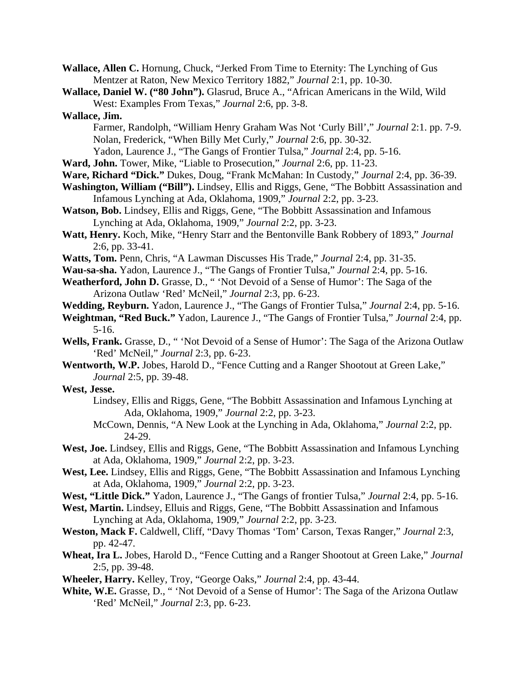**Wallace, Allen C.** Hornung, Chuck, "Jerked From Time to Eternity: The Lynching of Gus Mentzer at Raton, New Mexico Territory 1882," *Journal* 2:1, pp. 10-30.

**Wallace, Daniel W. ("80 John").** Glasrud, Bruce A., "African Americans in the Wild, Wild West: Examples From Texas," *Journal* 2:6, pp. 3-8.

## **Wallace, Jim.**

- Farmer, Randolph, "William Henry Graham Was Not 'Curly Bill'," *Journal* 2:1. pp. 7-9. Nolan, Frederick, "When Billy Met Curly," *Journal* 2:6, pp. 30-32.
- Yadon, Laurence J., "The Gangs of Frontier Tulsa," *Journal* 2:4, pp. 5-16.
- **Ward, John.** Tower, Mike, "Liable to Prosecution," *Journal* 2:6, pp. 11-23.
- **Ware, Richard "Dick."** Dukes, Doug, "Frank McMahan: In Custody," *Journal* 2:4, pp. 36-39.
- **Washington, William ("Bill").** Lindsey, Ellis and Riggs, Gene, "The Bobbitt Assassination and Infamous Lynching at Ada, Oklahoma, 1909," *Journal* 2:2, pp. 3-23.
- **Watson, Bob.** Lindsey, Ellis and Riggs, Gene, "The Bobbitt Assassination and Infamous Lynching at Ada, Oklahoma, 1909," *Journal* 2:2, pp. 3-23.
- **Watt, Henry.** Koch, Mike, "Henry Starr and the Bentonville Bank Robbery of 1893," *Journal* 2:6, pp. 33-41.
- **Watts, Tom.** Penn, Chris, "A Lawman Discusses His Trade," *Journal* 2:4, pp. 31-35.
- **Wau-sa-sha.** Yadon, Laurence J., "The Gangs of Frontier Tulsa," *Journal* 2:4, pp. 5-16.
- Weatherford, John D. Grasse, D., "Yot Devoid of a Sense of Humor': The Saga of the Arizona Outlaw 'Red' McNeil," *Journal* 2:3, pp. 6-23.
- **Wedding, Reyburn.** Yadon, Laurence J., "The Gangs of Frontier Tulsa," *Journal* 2:4, pp. 5-16.
- **Weightman, "Red Buck."** Yadon, Laurence J., "The Gangs of Frontier Tulsa," *Journal* 2:4, pp. 5-16.
- **Wells, Frank.** Grasse, D., " 'Not Devoid of a Sense of Humor': The Saga of the Arizona Outlaw 'Red' McNeil," *Journal* 2:3, pp. 6-23.
- **Wentworth, W.P.** Jobes, Harold D., "Fence Cutting and a Ranger Shootout at Green Lake," *Journal* 2:5, pp. 39-48.

# **West, Jesse.**

- Lindsey, Ellis and Riggs, Gene, "The Bobbitt Assassination and Infamous Lynching at Ada, Oklahoma, 1909," *Journal* 2:2, pp. 3-23.
- McCown, Dennis, "A New Look at the Lynching in Ada, Oklahoma," *Journal* 2:2, pp. 24-29.
- **West, Joe.** Lindsey, Ellis and Riggs, Gene, "The Bobbitt Assassination and Infamous Lynching at Ada, Oklahoma, 1909," *Journal* 2:2, pp. 3-23.
- **West, Lee.** Lindsey, Ellis and Riggs, Gene, "The Bobbitt Assassination and Infamous Lynching at Ada, Oklahoma, 1909," *Journal* 2:2, pp. 3-23.
- **West, "Little Dick."** Yadon, Laurence J., "The Gangs of frontier Tulsa," *Journal* 2:4, pp. 5-16.
- **West, Martin.** Lindsey, Elluis and Riggs, Gene, "The Bobbitt Assassination and Infamous Lynching at Ada, Oklahoma, 1909," *Journal* 2:2, pp. 3-23.
- **Weston, Mack F.** Caldwell, Cliff, "Davy Thomas 'Tom' Carson, Texas Ranger," *Journal* 2:3, pp. 42-47.
- **Wheat, Ira L.** Jobes, Harold D., "Fence Cutting and a Ranger Shootout at Green Lake," *Journal* 2:5, pp. 39-48.
- **Wheeler, Harry.** Kelley, Troy, "George Oaks," *Journal* 2:4, pp. 43-44.
- **White, W.E.** Grasse, D., " 'Not Devoid of a Sense of Humor': The Saga of the Arizona Outlaw 'Red' McNeil," *Journal* 2:3, pp. 6-23.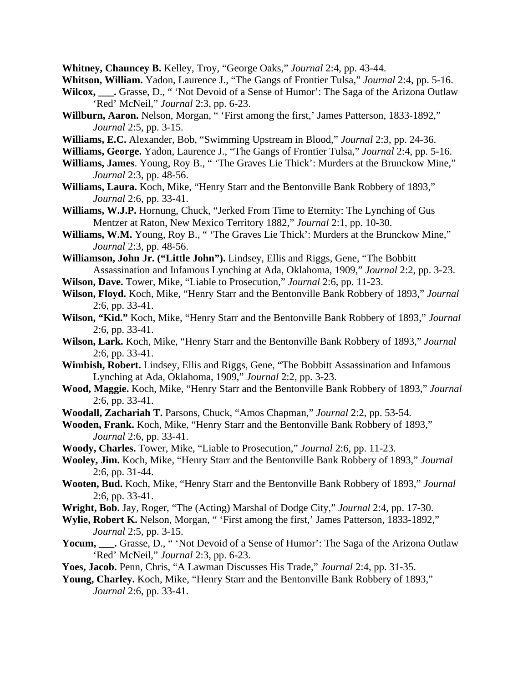**Whitney, Chauncey B.** Kelley, Troy, "George Oaks," *Journal* 2:4, pp. 43-44.

**Whitson, William.** Yadon, Laurence J., "The Gangs of Frontier Tulsa," *Journal* 2:4, pp. 5-16.

- **Wilcox, \_\_\_.** Grasse, D., " 'Not Devoid of a Sense of Humor': The Saga of the Arizona Outlaw 'Red' McNeil," *Journal* 2:3, pp. 6-23.
- **Willburn, Aaron.** Nelson, Morgan, " 'First among the first,' James Patterson, 1833-1892," *Journal* 2:5, pp. 3-15.
- **Williams, E.C.** Alexander, Bob, "Swimming Upstream in Blood," *Journal* 2:3, pp. 24-36.
- **Williams, George.** Yadon, Laurence J., "The Gangs of Frontier Tulsa," *Journal* 2:4, pp. 5-16.
- **Williams, James**. Young, Roy B., " 'The Graves Lie Thick': Murders at the Brunckow Mine," *Journal* 2:3, pp. 48-56.
- **Williams, Laura.** Koch, Mike, "Henry Starr and the Bentonville Bank Robbery of 1893," *Journal* 2:6, pp. 33-41.
- **Williams, W.J.P.** Hornung, Chuck, "Jerked From Time to Eternity: The Lynching of Gus Mentzer at Raton, New Mexico Territory 1882," *Journal* 2:1, pp. 10-30.
- **Williams, W.M.** Young, Roy B., " 'The Graves Lie Thick': Murders at the Brunckow Mine," *Journal* 2:3, pp. 48-56.
- **Williamson, John Jr. ("Little John").** Lindsey, Ellis and Riggs, Gene, "The Bobbitt Assassination and Infamous Lynching at Ada, Oklahoma, 1909," *Journal* 2:2, pp. 3-23.
- **Wilson, Dave.** Tower, Mike, "Liable to Prosecution," *Journal* 2:6, pp. 11-23.
- **Wilson, Floyd.** Koch, Mike, "Henry Starr and the Bentonville Bank Robbery of 1893," *Journal* 2:6, pp. 33-41.
- **Wilson, "Kid."** Koch, Mike, "Henry Starr and the Bentonville Bank Robbery of 1893," *Journal* 2:6, pp. 33-41.
- **Wilson, Lark.** Koch, Mike, "Henry Starr and the Bentonville Bank Robbery of 1893," *Journal* 2:6, pp. 33-41.
- **Wimbish, Robert.** Lindsey, Ellis and Riggs, Gene, "The Bobbitt Assassination and Infamous Lynching at Ada, Oklahoma, 1909," *Journal* 2:2, pp. 3-23.
- **Wood, Maggie.** Koch, Mike, "Henry Starr and the Bentonville Bank Robbery of 1893," *Journal* 2:6, pp. 33-41.
- **Woodall, Zachariah T.** Parsons, Chuck, "Amos Chapman," *Journal* 2:2, pp. 53-54.
- **Wooden, Frank.** Koch, Mike, "Henry Starr and the Bentonville Bank Robbery of 1893," *Journal* 2:6, pp. 33-41.
- **Woody, Charles.** Tower, Mike, "Liable to Prosecution," *Journal* 2:6, pp. 11-23.
- **Wooley, Jim.** Koch, Mike, "Henry Starr and the Bentonville Bank Robbery of 1893," *Journal* 2:6, pp. 31-44.
- **Wooten, Bud.** Koch, Mike, "Henry Starr and the Bentonville Bank Robbery of 1893," *Journal* 2:6, pp. 33-41.
- **Wright, Bob.** Jay, Roger, "The (Acting) Marshal of Dodge City," *Journal* 2:4, pp. 17-30.
- **Wylie, Robert K.** Nelson, Morgan, " 'First among the first,' James Patterson, 1833-1892," *Journal* 2:5, pp. 3-15.
- **Yocum, \_\_\_.** Grasse, D., " 'Not Devoid of a Sense of Humor': The Saga of the Arizona Outlaw 'Red' McNeil," *Journal* 2:3, pp. 6-23.
- **Yoes, Jacob.** Penn, Chris, "A Lawman Discusses His Trade," *Journal* 2:4, pp. 31-35.
- **Young, Charley.** Koch, Mike, "Henry Starr and the Bentonville Bank Robbery of 1893," *Journal* 2:6, pp. 33-41.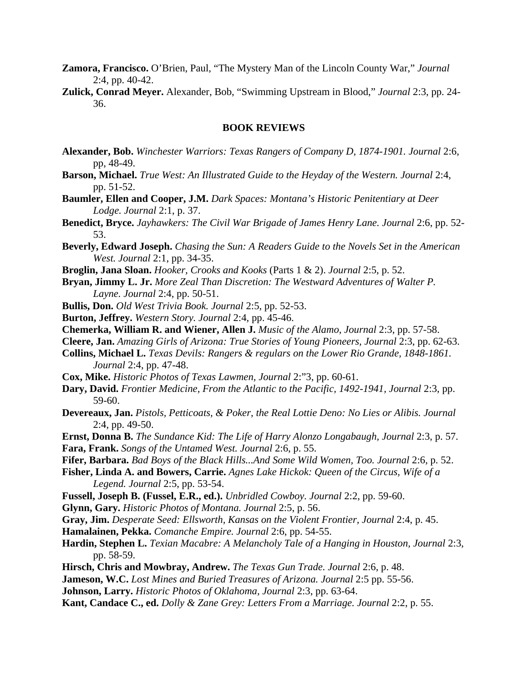- **Zamora, Francisco.** O'Brien, Paul, "The Mystery Man of the Lincoln County War," *Journal* 2:4, pp. 40-42.
- **Zulick, Conrad Meyer.** Alexander, Bob, "Swimming Upstream in Blood," *Journal* 2:3, pp. 24- 36.

### **BOOK REVIEWS**

- **Alexander, Bob.** *Winchester Warriors: Texas Rangers of Company D, 1874-1901. Journal* 2:6, pp, 48-49.
- **Barson, Michael.** *True West: An Illustrated Guide to the Heyday of the Western. Journal* 2:4, pp. 51-52.
- **Baumler, Ellen and Cooper, J.M.** *Dark Spaces: Montana's Historic Penitentiary at Deer Lodge. Journal* 2:1, p. 37.
- **Benedict, Bryce.** *Jayhawkers: The Civil War Brigade of James Henry Lane. Journal* 2:6, pp. 52- 53.
- **Beverly, Edward Joseph.** *Chasing the Sun: A Readers Guide to the Novels Set in the American West. Journal* 2:1, pp. 34-35.
- **Broglin, Jana Sloan.** *Hooker, Crooks and Kooks* (Parts 1 & 2). *Journal* 2:5, p. 52.
- **Bryan, Jimmy L. Jr.** *More Zeal Than Discretion: The Westward Adventures of Walter P. Layne. Journal* 2:4, pp. 50-51.
- **Bullis, Don.** *Old West Trivia Book. Journal* 2:5, pp. 52-53.
- **Burton, Jeffrey.** *Western Story. Journal* 2:4, pp. 45-46.
- **Chemerka, William R. and Wiener, Allen J.** *Music of the Alamo, Journal* 2:3, pp. 57-58.
- **Cleere, Jan.** *Amazing Girls of Arizona: True Stories of Young Pioneers, Journal* 2:3, pp. 62-63.
- **Collins, Michael L.** *Texas Devils: Rangers & regulars on the Lower Rio Grande, 1848-1861. Journal* 2:4, pp. 47-48.
- **Cox, Mike.** *Historic Photos of Texas Lawmen, Journal* 2:"3, pp. 60-61.
- **Dary, David.** *Frontier Medicine, From the Atlantic to the Pacific, 1492-1941, Journal* 2:3, pp. 59-60.
- **Devereaux, Jan.** *Pistols, Petticoats, & Poker, the Real Lottie Deno: No Lies or Alibis. Journal* 2:4, pp. 49-50.
- **Ernst, Donna B.** *The Sundance Kid: The Life of Harry Alonzo Longabaugh, Journal* 2:3, p. 57. **Fara, Frank.** *Songs of the Untamed West. Journal* 2:6, p. 55.
- **Fifer, Barbara.** *Bad Boys of the Black Hills...And Some Wild Women, Too. Journal* 2:6, p. 52.
- **Fisher, Linda A. and Bowers, Carrie.** *Agnes Lake Hickok: Queen of the Circus, Wife of a Legend. Journal* 2:5, pp. 53-54.
- **Fussell, Joseph B. (Fussel, E.R., ed.).** *Unbridled Cowboy. Journal* 2:2, pp. 59-60.
- **Glynn, Gary.** *Historic Photos of Montana. Journal* 2:5, p. 56.
- **Gray, Jim.** *Desperate Seed: Ellsworth, Kansas on the Violent Frontier, Journal* 2:4, p. 45.
- **Hamalainen, Pekka.** *Comanche Empire. Journal* 2:6, pp. 54-55.
- **Hardin, Stephen L.** *Texian Macabre: A Melancholy Tale of a Hanging in Houston, Journal* 2:3, pp. 58-59.
- **Hirsch, Chris and Mowbray, Andrew.** *The Texas Gun Trade. Journal* 2:6, p. 48.
- **Jameson, W.C.** *Lost Mines and Buried Treasures of Arizona. Journal* 2:5 pp. 55-56.
- **Johnson, Larry.** *Historic Photos of Oklahoma, Journal* 2:3, pp. 63-64.
- **Kant, Candace C., ed.** *Dolly & Zane Grey: Letters From a Marriage. Journal* 2:2, p. 55.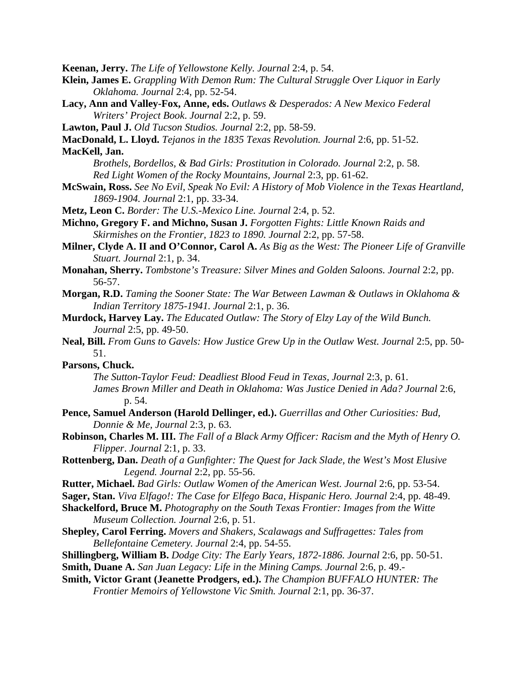**Keenan, Jerry.** *The Life of Yellowstone Kelly. Journal* 2:4, p. 54.

- **Klein, James E.** *Grappling With Demon Rum: The Cultural Struggle Over Liquor in Early Oklahoma. Journal* 2:4, pp. 52-54.
- **Lacy, Ann and Valley-Fox, Anne, eds.** *Outlaws & Desperados: A New Mexico Federal Writers' Project Book*. *Journal* 2:2, p. 59.
- **Lawton, Paul J.** *Old Tucson Studios. Journal* 2:2, pp. 58-59.
- **MacDonald, L. Lloyd.** *Tejanos in the 1835 Texas Revolution. Journal* 2:6, pp. 51-52.

**MacKell, Jan.**

- *Brothels, Bordellos, & Bad Girls: Prostitution in Colorado. Journal* 2:2, p. 58. *Red Light Women of the Rocky Mountains, Journal* 2:3, pp. 61-62.
- **McSwain, Ross.** *See No Evil, Speak No Evil: A History of Mob Violence in the Texas Heartland, 1869-1904. Journal* 2:1, pp. 33-34.
- **Metz, Leon C.** *Border: The U.S.-Mexico Line. Journal* 2:4, p. 52.
- **Michno, Gregory F. and Michno, Susan J.** *Forgotten Fights: Little Known Raids and Skirmishes on the Frontier, 1823 to 1890. Journal* 2:2, pp. 57-58.
- **Milner, Clyde A. II and O'Connor, Carol A.** *As Big as the West: The Pioneer Life of Granville Stuart. Journal* 2:1, p. 34.
- **Monahan, Sherry.** *Tombstone's Treasure: Silver Mines and Golden Saloons. Journal* 2:2, pp. 56-57.
- **Morgan, R.D.** *Taming the Sooner State: The War Between Lawman & Outlaws in Oklahoma & Indian Territory 1875-1941. Journal* 2:1, p. 36.
- **Murdock, Harvey Lay.** *The Educated Outlaw: The Story of Elzy Lay of the Wild Bunch. Journal* 2:5, pp. 49-50.
- **Neal, Bill.** *From Guns to Gavels: How Justice Grew Up in the Outlaw West. Journal* 2:5, pp. 50- 51.

## **Parsons, Chuck.**

- *The Sutton-Taylor Feud: Deadliest Blood Feud in Texas, Journal* 2:3, p. 61. *James Brown Miller and Death in Oklahoma: Was Justice Denied in Ada? Journal* 2:6, p. 54.
- **Pence, Samuel Anderson (Harold Dellinger, ed.).** *Guerrillas and Other Curiosities: Bud, Donnie & Me, Journal* 2:3, p. 63.
- **Robinson, Charles M. III.** *The Fall of a Black Army Officer: Racism and the Myth of Henry O. Flipper*. *Journal* 2:1, p. 33.
- **Rottenberg, Dan.** *Death of a Gunfighter: The Quest for Jack Slade, the West's Most Elusive Legend. Journal* 2:2, pp. 55-56.
- **Rutter, Michael.** *Bad Girls: Outlaw Women of the American West. Journal* 2:6, pp. 53-54.
- **Sager, Stan.** *Viva Elfago!: The Case for Elfego Baca, Hispanic Hero. Journal* 2:4, pp. 48-49.
- **Shackelford, Bruce M.** *Photography on the South Texas Frontier: Images from the Witte Museum Collection. Journal* 2:6, p. 51.
- **Shepley, Carol Ferring.** *Movers and Shakers, Scalawags and Suffragettes: Tales from Bellefontaine Cemetery. Journal* 2:4, pp. 54-55.
- **Shillingberg, William B.** *Dodge City: The Early Years, 1872-1886. Journal* 2:6, pp. 50-51.

**Smith, Duane A.** *San Juan Legacy: Life in the Mining Camps. Journal* 2:6, p. 49.-

**Smith, Victor Grant (Jeanette Prodgers, ed.).** *The Champion BUFFALO HUNTER: The Frontier Memoirs of Yellowstone Vic Smith. Journal* 2:1, pp. 36-37.